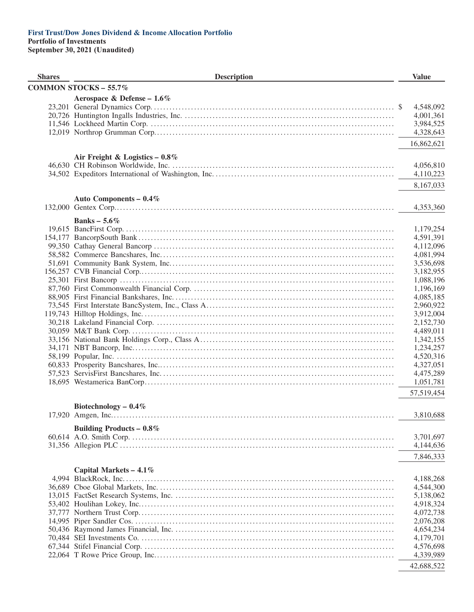| <b>COMMON STOCKS - 55.7%</b><br>Aerospace & Defense – $1.6\%$<br>4,548,092<br>4,001,361<br>3,984,525<br>4,328,643<br>16,862,621<br>Air Freight & Logistics $-0.8\%$<br>4,056,810<br>4,110,223<br>8,167,033<br>Auto Components - 0.4%<br>4,353,360<br>Banks – $5.6\%$<br>1,179,254<br>4,591,391<br>4,112,096<br>4,081,994<br>3,536,698<br>3,182,955<br>1,088,196<br>1,196,169<br>4,085,185<br>2,960,922<br>3,912,004<br>2,152,730<br>4,489,011<br>1,342,155<br>1,234,257<br>4,520,316<br>4,327,051<br>4,475,289<br>1,051,781<br>57,519,454<br>Biotechnology $-0.4\%$<br>3,810,688<br>Building Products – $0.8\%$<br>3,701,697<br>4,144,636<br>7,846,333<br>Capital Markets $-4.1\%$<br>4,188,268<br>4,544,300<br>5,138,062<br>4,918,324<br>4,072,738<br>2,076,208<br>4,654,234<br>4,179,701<br>4,576,698<br>4,339,989<br>42,688,522 | <b>Shares</b> | <b>Description</b> | <b>Value</b> |
|------------------------------------------------------------------------------------------------------------------------------------------------------------------------------------------------------------------------------------------------------------------------------------------------------------------------------------------------------------------------------------------------------------------------------------------------------------------------------------------------------------------------------------------------------------------------------------------------------------------------------------------------------------------------------------------------------------------------------------------------------------------------------------------------------------------------------------|---------------|--------------------|--------------|
|                                                                                                                                                                                                                                                                                                                                                                                                                                                                                                                                                                                                                                                                                                                                                                                                                                    |               |                    |              |
|                                                                                                                                                                                                                                                                                                                                                                                                                                                                                                                                                                                                                                                                                                                                                                                                                                    |               |                    |              |
|                                                                                                                                                                                                                                                                                                                                                                                                                                                                                                                                                                                                                                                                                                                                                                                                                                    |               |                    |              |
|                                                                                                                                                                                                                                                                                                                                                                                                                                                                                                                                                                                                                                                                                                                                                                                                                                    |               |                    |              |
|                                                                                                                                                                                                                                                                                                                                                                                                                                                                                                                                                                                                                                                                                                                                                                                                                                    |               |                    |              |
|                                                                                                                                                                                                                                                                                                                                                                                                                                                                                                                                                                                                                                                                                                                                                                                                                                    |               |                    |              |
|                                                                                                                                                                                                                                                                                                                                                                                                                                                                                                                                                                                                                                                                                                                                                                                                                                    |               |                    |              |
|                                                                                                                                                                                                                                                                                                                                                                                                                                                                                                                                                                                                                                                                                                                                                                                                                                    |               |                    |              |
|                                                                                                                                                                                                                                                                                                                                                                                                                                                                                                                                                                                                                                                                                                                                                                                                                                    |               |                    |              |
|                                                                                                                                                                                                                                                                                                                                                                                                                                                                                                                                                                                                                                                                                                                                                                                                                                    |               |                    |              |
|                                                                                                                                                                                                                                                                                                                                                                                                                                                                                                                                                                                                                                                                                                                                                                                                                                    |               |                    |              |
|                                                                                                                                                                                                                                                                                                                                                                                                                                                                                                                                                                                                                                                                                                                                                                                                                                    |               |                    |              |
|                                                                                                                                                                                                                                                                                                                                                                                                                                                                                                                                                                                                                                                                                                                                                                                                                                    |               |                    |              |
|                                                                                                                                                                                                                                                                                                                                                                                                                                                                                                                                                                                                                                                                                                                                                                                                                                    |               |                    |              |
|                                                                                                                                                                                                                                                                                                                                                                                                                                                                                                                                                                                                                                                                                                                                                                                                                                    |               |                    |              |
|                                                                                                                                                                                                                                                                                                                                                                                                                                                                                                                                                                                                                                                                                                                                                                                                                                    |               |                    |              |
|                                                                                                                                                                                                                                                                                                                                                                                                                                                                                                                                                                                                                                                                                                                                                                                                                                    |               |                    |              |
|                                                                                                                                                                                                                                                                                                                                                                                                                                                                                                                                                                                                                                                                                                                                                                                                                                    |               |                    |              |
|                                                                                                                                                                                                                                                                                                                                                                                                                                                                                                                                                                                                                                                                                                                                                                                                                                    |               |                    |              |
|                                                                                                                                                                                                                                                                                                                                                                                                                                                                                                                                                                                                                                                                                                                                                                                                                                    |               |                    |              |
|                                                                                                                                                                                                                                                                                                                                                                                                                                                                                                                                                                                                                                                                                                                                                                                                                                    |               |                    |              |
|                                                                                                                                                                                                                                                                                                                                                                                                                                                                                                                                                                                                                                                                                                                                                                                                                                    |               |                    |              |
|                                                                                                                                                                                                                                                                                                                                                                                                                                                                                                                                                                                                                                                                                                                                                                                                                                    |               |                    |              |
|                                                                                                                                                                                                                                                                                                                                                                                                                                                                                                                                                                                                                                                                                                                                                                                                                                    |               |                    |              |
|                                                                                                                                                                                                                                                                                                                                                                                                                                                                                                                                                                                                                                                                                                                                                                                                                                    |               |                    |              |
|                                                                                                                                                                                                                                                                                                                                                                                                                                                                                                                                                                                                                                                                                                                                                                                                                                    |               |                    |              |
|                                                                                                                                                                                                                                                                                                                                                                                                                                                                                                                                                                                                                                                                                                                                                                                                                                    |               |                    |              |
|                                                                                                                                                                                                                                                                                                                                                                                                                                                                                                                                                                                                                                                                                                                                                                                                                                    |               |                    |              |
|                                                                                                                                                                                                                                                                                                                                                                                                                                                                                                                                                                                                                                                                                                                                                                                                                                    |               |                    |              |
|                                                                                                                                                                                                                                                                                                                                                                                                                                                                                                                                                                                                                                                                                                                                                                                                                                    |               |                    |              |
|                                                                                                                                                                                                                                                                                                                                                                                                                                                                                                                                                                                                                                                                                                                                                                                                                                    |               |                    |              |
|                                                                                                                                                                                                                                                                                                                                                                                                                                                                                                                                                                                                                                                                                                                                                                                                                                    |               |                    |              |
|                                                                                                                                                                                                                                                                                                                                                                                                                                                                                                                                                                                                                                                                                                                                                                                                                                    |               |                    |              |
|                                                                                                                                                                                                                                                                                                                                                                                                                                                                                                                                                                                                                                                                                                                                                                                                                                    |               |                    |              |
|                                                                                                                                                                                                                                                                                                                                                                                                                                                                                                                                                                                                                                                                                                                                                                                                                                    |               |                    |              |
|                                                                                                                                                                                                                                                                                                                                                                                                                                                                                                                                                                                                                                                                                                                                                                                                                                    |               |                    |              |
|                                                                                                                                                                                                                                                                                                                                                                                                                                                                                                                                                                                                                                                                                                                                                                                                                                    |               |                    |              |
|                                                                                                                                                                                                                                                                                                                                                                                                                                                                                                                                                                                                                                                                                                                                                                                                                                    |               |                    |              |
|                                                                                                                                                                                                                                                                                                                                                                                                                                                                                                                                                                                                                                                                                                                                                                                                                                    |               |                    |              |
|                                                                                                                                                                                                                                                                                                                                                                                                                                                                                                                                                                                                                                                                                                                                                                                                                                    |               |                    |              |
|                                                                                                                                                                                                                                                                                                                                                                                                                                                                                                                                                                                                                                                                                                                                                                                                                                    |               |                    |              |
|                                                                                                                                                                                                                                                                                                                                                                                                                                                                                                                                                                                                                                                                                                                                                                                                                                    |               |                    |              |
|                                                                                                                                                                                                                                                                                                                                                                                                                                                                                                                                                                                                                                                                                                                                                                                                                                    |               |                    |              |
|                                                                                                                                                                                                                                                                                                                                                                                                                                                                                                                                                                                                                                                                                                                                                                                                                                    |               |                    |              |
|                                                                                                                                                                                                                                                                                                                                                                                                                                                                                                                                                                                                                                                                                                                                                                                                                                    |               |                    |              |
|                                                                                                                                                                                                                                                                                                                                                                                                                                                                                                                                                                                                                                                                                                                                                                                                                                    |               |                    |              |
|                                                                                                                                                                                                                                                                                                                                                                                                                                                                                                                                                                                                                                                                                                                                                                                                                                    |               |                    |              |
|                                                                                                                                                                                                                                                                                                                                                                                                                                                                                                                                                                                                                                                                                                                                                                                                                                    |               |                    |              |
|                                                                                                                                                                                                                                                                                                                                                                                                                                                                                                                                                                                                                                                                                                                                                                                                                                    |               |                    |              |
|                                                                                                                                                                                                                                                                                                                                                                                                                                                                                                                                                                                                                                                                                                                                                                                                                                    |               |                    |              |
|                                                                                                                                                                                                                                                                                                                                                                                                                                                                                                                                                                                                                                                                                                                                                                                                                                    |               |                    |              |
|                                                                                                                                                                                                                                                                                                                                                                                                                                                                                                                                                                                                                                                                                                                                                                                                                                    |               |                    |              |
|                                                                                                                                                                                                                                                                                                                                                                                                                                                                                                                                                                                                                                                                                                                                                                                                                                    |               |                    |              |
|                                                                                                                                                                                                                                                                                                                                                                                                                                                                                                                                                                                                                                                                                                                                                                                                                                    |               |                    |              |
|                                                                                                                                                                                                                                                                                                                                                                                                                                                                                                                                                                                                                                                                                                                                                                                                                                    |               |                    |              |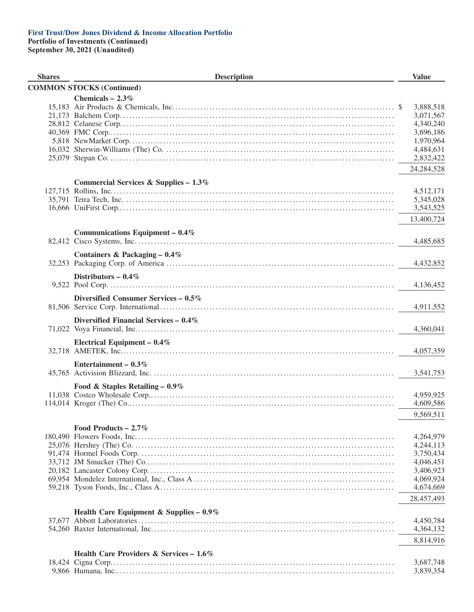**Portfolio of Investments (Continued) September 30, 2021 (Unaudited)**

**Shares Little Construction Construction Construction Construction Construction Construction Construction Construction COMMON STOCKS (Continued) Chemicals – 2.3%** 15,183 Air Products & Chemicals, Inc. . . . . . . . . . . . . . . . . . . . . . . . . . . . . . . . . . . . . . . . . . . . . . . . . . . . . . . . . . . . . . . . . . . . . . . . \$ 3,888,518 21,173 Balchem Corp. . . . . . . . . . . . . . . . . . . . . . . . . . . . . . . . . . . . . . . . . . . . . . . . . . . . . . . . . . . . . . . . . . . . . . . . . . . . . . . . . . . . . . . . . 3,071,567 28,812 Celanese Corp. . . . . . . . . . . . . . . . . . . . . . . . . . . . . . . . . . . . . . . . . . . . . . . . . . . . . . . . . . . . . . . . . . . . . . . . . . . . . . . . . . . . . . . . . 4,340,240 40,369 FMC Corp.. . . . . . . . . . . . . . . . . . . . . . . . . . . . . . . . . . . . . . . . . . . . . . . . . . . . . . . . . . . . . . . . . . . . . . . . . . . . . . . . . . . . . . . . . . . . 3,696,186 5,818 NewMarket Corp. . . . . . . . . . . . . . . . . . . . . . . . . . . . . . . . . . . . . . . . . . . . . . . . . . . . . . . . . . . . . . . . . . . . . . . . . . . . . . . . . . . . . . 1,970,964 16,032 Sherwin-Williams (The) Co. . . . . . . . . . . . . . . . . . . . . . . . . . . . . . . . . . . . . . . . . . . . . . . . . . . . . . . . . . . . . . . . . . . . . . . . . . . 4,484,631 25,079 Stepan Co. . . . . . . . . . . . . . . . . . . . . . . . . . . . . . . . . . . . . . . . . . . . . . . . . . . . . . . . . . . . . . . . . . . . . . . . . . . . . . . . . . . . . . . . . . . . . 2,832,422 24,284,528 **Commercial Services & Supplies – 1.3%** 127,715 Rollins, Inc. . . . . . . . . . . . . . . . . . . . . . . . . . . . . . . . . . . . . . . . . . . . . . . . . . . . . . . . . . . . . . . . . . . . . . . . . . . . . . . . . . . . . . . . . . . . 4,512,171 35,791 Tetra Tech, Inc. . . . . . . . . . . . . . . . . . . . . . . . . . . . . . . . . . . . . . . . . . . . . . . . . . . . . . . . . . . . . . . . . . . . . . . . . . . . . . . . . . . . . . . . 5,345,028 16,666 UniFirst Corp.. . . . . . . . . . . . . . . . . . . . . . . . . . . . . . . . . . . . . . . . . . . . . . . . . . . . . . . . . . . . . . . . . . . . . . . . . . . . . . . . . . . . . . . . . 3,543,525 13,400,724 **Communications Equipment – 0.4%** 82,412 Cisco Systems, Inc. . . . . . . . . . . . . . . . . . . . . . . . . . . . . . . . . . . . . . . . . . . . . . . . . . . . . . . . . . . . . . . . . . . . . . . . . . . . . . . . . . . . 4,485,685 **Containers & Packaging – 0.4%** 32,253 Packaging Corp. of America . . . . . . . . . . . . . . . . . . . . . . . . . . . . . . . . . . . . . . . . . . . . . . . . . . . . . . . . . . . . . . . . . . . . . . . . . . 4,432,852 **Distributors – 0.4%** 9,522 Pool Corp. . . . . . . . . . . . . . . . . . . . . . . . . . . . . . . . . . . . . . . . . . . . . . . . . . . . . . . . . . . . . . . . . . . . . . . . . . . . . . . . . . . . . . . . . . . . . 4,136,452 **Diversified Consumer Services – 0.5%** 81,506 Service Corp. International . . . . . . . . . . . . . . . . . . . . . . . . . . . . . . . . . . . . . . . . . . . . . . . . . . . . . . . . . . . . . . . . . . . . . . . . . . . . 4,911,552 **Diversified Financial Services – 0.4%** 71,022 Voya Financial, Inc. . . . . . . . . . . . . . . . . . . . . . . . . . . . . . . . . . . . . . . . . . . . . . . . . . . . . . . . . . . . . . . . . . . . . . . . . . . . . . . . . . . . 4,360,041 **Electrical Equipment – 0.4%** 32,718 AMETEK, Inc.. . . . . . . . . . . . . . . . . . . . . . . . . . . . . . . . . . . . . . . . . . . . . . . . . . . . . . . . . . . . . . . . . . . . . . . . . . . . . . . . . . . . . . . . 4,057,359 **Entertainment – 0.3%** 45,765 Activision Blizzard, Inc. . . . . . . . . . . . . . . . . . . . . . . . . . . . . . . . . . . . . . . . . . . . . . . . . . . . . . . . . . . . . . . . . . . . . . . . . . . . . . . 3,541,753 **Food & Staples Retailing – 0.9%** 11,038 Costco Wholesale Corp.. . . . . . . . . . . . . . . . . . . . . . . . . . . . . . . . . . . . . . . . . . . . . . . . . . . . . . . . . . . . . . . . . . . . . . . . . . . . . . . 4,959,925 114,014 Kroger (The) Co.. . . . . . . . . . . . . . . . . . . . . . . . . . . . . . . . . . . . . . . . . . . . . . . . . . . . . . . . . . . . . . . . . . . . . . . . . . . . . . . . . . . . . . 4,609,586 9,569,511 **Food Products – 2.7%** 180,490 Flowers Foods, Inc. . . . . . . . . . . . . . . . . . . . . . . . . . . . . . . . . . . . . . . . . . . . . . . . . . . . . . . . . . . . . . . . . . . . . . . . . . . . . . . . . . . . 4,264,979 25,076 Hershey (The) Co. . . . . . . . . . . . . . . . . . . . . . . . . . . . . . . . . . . . . . . . . . . . . . . . . . . . . . . . . . . . . . . . . . . . . . . . . . . . . . . . . . . . . 4,244,113 91,474 Hormel Foods Corp. . . . . . . . . . . . . . . . . . . . . . . . . . . . . . . . . . . . . . . . . . . . . . . . . . . . . . . . . . . . . . . . . . . . . . . . . . . . . . . . . . . 3,750,434 33,712 JM Smucker (The) Co.. . . . . . . . . . . . . . . . . . . . . . . . . . . . . . . . . . . . . . . . . . . . . . . . . . . . . . . . . . . . . . . . . . . . . . . . . . . . . . . . 4,046,451 20,182 Lancaster Colony Corp. . . . . . . . . . . . . . . . . . . . . . . . . . . . . . . . . . . . . . . . . . . . . . . . . . . . . . . . . . . . . . . . . . . . . . . . . . . . . . . . 3,406,923 69,954 Mondelez International, Inc., Class A . . . . . . . . . . . . . . . . . . . . . . . . . . . . . . . . . . . . . . . . . . . . . . . . . . . . . . . . . . . . . . . . . 4,069,924 59,218 Tyson Foods, Inc., Class A. . . . . . . . . . . . . . . . . . . . . . . . . . . . . . . . . . . . . . . . . . . . . . . . . . . . . . . . . . . . . . . . . . . . . . . . . . . . 4,674,669 28,457,493 **Health Care Equipment & Supplies – 0.9%** 37,677 Abbott Laboratories . . . . . . . . . . . . . . . . . . . . . . . . . . . . . . . . . . . . . . . . . . . . . . . . . . . . . . . . . . . . . . . . . . . . . . . . . . . . . . . . . . . 4,450,784 54,260 Baxter International, Inc. . . . . . . . . . . . . . . . . . . . . . . . . . . . . . . . . . . . . . . . . . . . . . . . . . . . . . . . . . . . . . . . . . . . . . . . . . . . . . . 4,364,132 8,814,916 **Health Care Providers & Services – 1.6%** 18,424 Cigna Corp. . . . . . . . . . . . . . . . . . . . . . . . . . . . . . . . . . . . . . . . . . . . . . . . . . . . . . . . . . . . . . . . . . . . . . . . . . . . . . . . . . . . . . . . . . . . 3,687,748 9,866 Humana, Inc.. . . . . . . . . . . . . . . . . . . . . . . . . . . . . . . . . . . . . . . . . . . . . . . . . . . . . . . . . . . . . . . . . . . . . . . . . . . . . . . . . . . . . . . . . . 3,839,354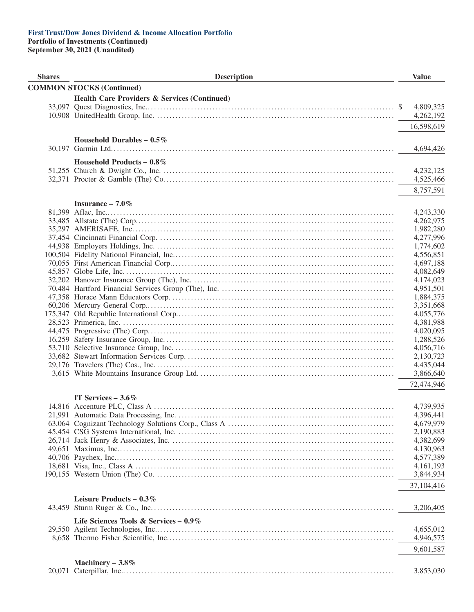**Portfolio of Investments (Continued)**

| <b>Shares</b> | <b>Description</b>                                      | <b>Value</b>           |
|---------------|---------------------------------------------------------|------------------------|
|               | <b>COMMON STOCKS (Continued)</b>                        |                        |
|               | <b>Health Care Providers &amp; Services (Continued)</b> |                        |
|               |                                                         | 4,809,325              |
|               |                                                         | 4,262,192              |
|               |                                                         | 16,598,619             |
|               |                                                         |                        |
|               | Household Durables $-0.5\%$                             |                        |
|               |                                                         | 4,694,426              |
|               | Household Products - $0.8\%$                            |                        |
|               |                                                         | 4,232,125              |
|               |                                                         | 4,525,466              |
|               |                                                         | 8,757,591              |
|               | Insurance $-7.0\%$                                      |                        |
|               |                                                         | 4,243,330              |
|               |                                                         | 4,262,975              |
|               |                                                         | 1,982,280              |
|               |                                                         | 4,277,996              |
|               |                                                         | 1,774,602              |
|               |                                                         | 4,556,851              |
|               |                                                         | 4,697,188              |
|               |                                                         | 4,082,649              |
|               |                                                         | 4,174,023              |
|               |                                                         | 4,951,501              |
|               |                                                         | 1,884,375              |
|               |                                                         | 3,351,668              |
|               |                                                         | 4,055,776              |
|               |                                                         | 4,381,988              |
|               |                                                         | 4,020,095<br>1,288,526 |
|               |                                                         | 4,056,716              |
|               |                                                         | 2,130,723              |
|               |                                                         | 4,435,044              |
|               |                                                         | 3,866,640              |
|               |                                                         | 72,474,946             |
|               |                                                         |                        |
|               | IT Services $-3.6\%$                                    |                        |
|               |                                                         | 4,739,935              |
|               |                                                         | 4,396,441<br>4,679,979 |
|               |                                                         | 2,190,883              |
|               |                                                         | 4,382,699              |
|               |                                                         | 4,130,963              |
|               |                                                         | 4,577,389              |
|               |                                                         | 4,161,193              |
|               |                                                         | 3,844,934              |
|               |                                                         | 37,104,416             |
|               |                                                         |                        |
|               | Leisure Products – $0.3\%$                              |                        |
|               |                                                         | 3,206,405              |
|               | Life Sciences Tools & Services – $0.9\%$                |                        |
|               |                                                         | 4,655,012              |
|               |                                                         | 4,946,575              |
|               |                                                         | 9,601,587              |
|               | Machinery $-3.8\%$                                      |                        |
|               |                                                         | 3,853,030              |
|               |                                                         |                        |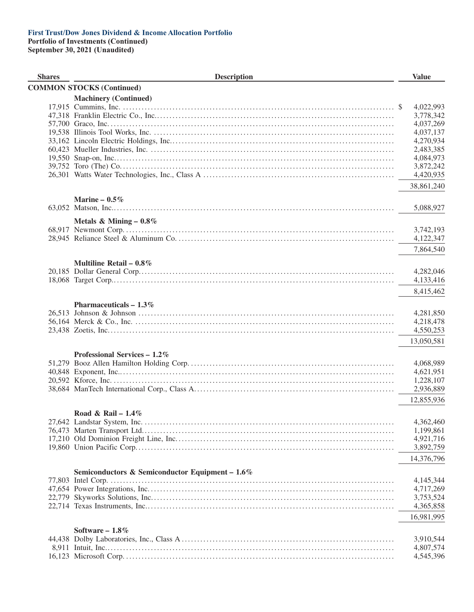**Portfolio of Investments (Continued)**

| <b>Shares</b> | <b>Description</b>                              | <b>Value</b>           |
|---------------|-------------------------------------------------|------------------------|
|               | <b>COMMON STOCKS (Continued)</b>                |                        |
|               | <b>Machinery (Continued)</b>                    |                        |
|               |                                                 | 4,022,993              |
|               |                                                 | 3,778,342              |
|               |                                                 | 4,037,269              |
|               |                                                 | 4,037,137              |
|               |                                                 | 4,270,934              |
|               |                                                 | 2,483,385              |
|               |                                                 | 4,084,973              |
|               |                                                 | 3,872,242              |
|               |                                                 | 4,420,935              |
|               |                                                 | 38,861,240             |
|               | Marine $-0.5\%$                                 |                        |
|               |                                                 | 5,088,927              |
|               | Metals & Mining $-0.8\%$                        |                        |
|               |                                                 | 3,742,193              |
|               |                                                 | 4,122,347              |
|               |                                                 | 7,864,540              |
|               |                                                 |                        |
|               | Multiline Retail $-0.8\%$                       |                        |
|               |                                                 | 4,282,046              |
|               |                                                 | 4,133,416              |
|               |                                                 | 8,415,462              |
|               | Pharmaceuticals $-1.3\%$                        |                        |
|               |                                                 | 4,281,850              |
|               |                                                 | 4,218,478              |
|               |                                                 | 4,550,253              |
|               |                                                 | 13,050,581             |
|               |                                                 |                        |
|               | Professional Services $-1.2\%$                  |                        |
|               |                                                 | 4,068,989              |
|               |                                                 | 4,621,951              |
|               |                                                 | 1,228,107<br>2,936,889 |
|               |                                                 |                        |
|               |                                                 | 12,855,936             |
|               | Road & Rail - $1.4\%$                           |                        |
|               |                                                 | 4,362,460              |
|               |                                                 | 1,199,861              |
|               |                                                 | 4,921,716              |
|               |                                                 | 3,892,759              |
|               |                                                 | 14,376,796             |
|               | Semiconductors & Semiconductor Equipment - 1.6% |                        |
|               |                                                 | 4,145,344              |
|               |                                                 | 4,717,269              |
|               |                                                 | 3,753,524              |
|               |                                                 | 4,365,858              |
|               |                                                 | 16,981,995             |
|               | Software $-1.8\%$                               |                        |
|               |                                                 | 3,910,544              |
|               |                                                 | 4,807,574              |
|               |                                                 | 4,545,396              |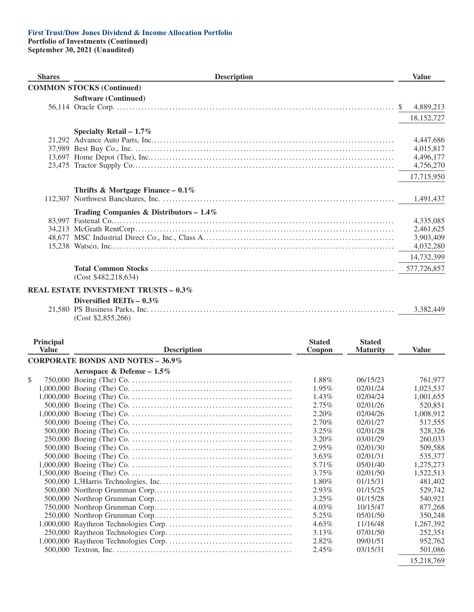## **Portfolio of Investments (Continued)**

**September 30, 2021 (Unaudited)**

| <b>Shares</b> | <b>Description</b>                               | <b>Value</b>                                                   |
|---------------|--------------------------------------------------|----------------------------------------------------------------|
|               | <b>COMMON STOCKS (Continued)</b>                 |                                                                |
|               | <b>Software (Continued)</b>                      | 4,889,213<br><sup>S</sup><br>18,152,727                        |
|               | Specialty Retail $-1.7\%$                        | 4,447,686<br>4,015,817<br>4,496,177<br>4,756,270<br>17,715,950 |
|               | Thrifts & Mortgage Finance – $0.1\%$             | 1,491,437                                                      |
|               | Trading Companies & Distributors - $1.4\%$       | 4,335,085<br>2,461,625<br>3,903,409<br>4,032,280               |
|               | (Cost \$482,218,634)                             | 14,732,399<br>577,726,857                                      |
|               | <b>REAL ESTATE INVESTMENT TRUSTS - 0.3%</b>      |                                                                |
|               | Diversified REITs $-0.3\%$<br>(Cost \$2,855,266) | 3,382,449                                                      |

| <b>Principal</b><br><b>Value</b> | <b>Description</b>                       | <b>Stated</b><br>Coupon | <b>Stated</b><br><b>Maturity</b> | <b>Value</b> |
|----------------------------------|------------------------------------------|-------------------------|----------------------------------|--------------|
|                                  | <b>CORPORATE BONDS AND NOTES - 36.9%</b> |                         |                                  |              |
|                                  | Aerospace & Defense – $1.5\%$            |                         |                                  |              |
| \$                               |                                          | 1.88%                   | 06/15/23                         | 761.977      |
|                                  |                                          | 1.95%                   | 02/01/24                         | 1,023,537    |
|                                  |                                          | 1.43%                   | 02/04/24                         | 1,001,655    |
|                                  |                                          | 2.75%                   | 02/01/26                         | 520,851      |
|                                  |                                          | 2.20%                   | 02/04/26                         | 1,008,912    |
|                                  |                                          | 2.70%                   | 02/01/27                         | 517,555      |
|                                  |                                          | 3.25%                   | 02/01/28                         | 528,326      |
|                                  |                                          | 3.20%                   | 03/01/29                         | 260,033      |
|                                  |                                          | 2.95%                   | 02/01/30                         | 509,588      |
|                                  |                                          | $3.63\%$                | 02/01/31                         | 535,377      |
|                                  |                                          | 5.71%                   | 05/01/40                         | 1,275,273    |
|                                  |                                          | $3.75\%$                | 02/01/50                         | 1,522,513    |
|                                  |                                          | 1.80%                   | 01/15/31                         | 481,402      |
|                                  |                                          | 2.93%                   | 01/15/25                         | 529,742      |
|                                  |                                          | 3.25%                   | 01/15/28                         | 540,921      |
|                                  |                                          | $4.03\%$                | 10/15/47                         | 877,268      |
|                                  |                                          | 5.25%                   | 05/01/50                         | 350,248      |
|                                  |                                          | $4.63\%$                | 11/16/48                         | 1,267,392    |
|                                  |                                          | 3.13%                   | 07/01/50                         | 252,351      |
|                                  |                                          | 2.82%                   | 09/01/51                         | 952,762      |
|                                  |                                          | 2.45%                   | 03/15/31                         | 501,086      |
|                                  |                                          |                         |                                  | 15.010.700   |

15,218,769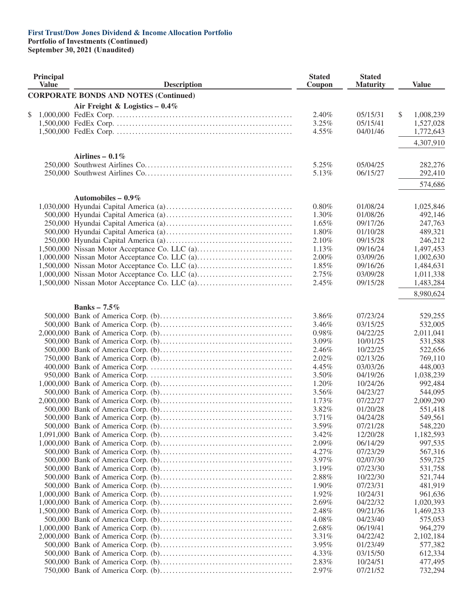**Portfolio of Investments (Continued)**

| Principal<br><b>Value</b> | <b>Description</b>                           | <b>Stated</b><br>Coupon | <b>Stated</b><br><b>Maturity</b> |               | <b>Value</b>           |
|---------------------------|----------------------------------------------|-------------------------|----------------------------------|---------------|------------------------|
|                           | <b>CORPORATE BONDS AND NOTES (Continued)</b> |                         |                                  |               |                        |
|                           | Air Freight & Logistics $-0.4\%$             |                         |                                  |               |                        |
| \$                        |                                              | 2.40%                   | 05/15/31                         | $\mathcal{S}$ | 1,008,239              |
|                           |                                              | 3.25%                   | 05/15/41                         |               | 1,527,028              |
|                           |                                              | 4.55%                   | 04/01/46                         |               | 1,772,643              |
|                           |                                              |                         |                                  |               |                        |
|                           |                                              |                         |                                  |               | 4,307,910              |
|                           | Airlines – $0.1\%$                           |                         |                                  |               |                        |
|                           |                                              | 5.25%                   | 05/04/25                         |               | 282,276                |
|                           |                                              | 5.13%                   | 06/15/27                         |               | 292,410                |
|                           |                                              |                         |                                  |               | 574,686                |
|                           | Automobiles – $0.9\%$                        |                         |                                  |               |                        |
|                           |                                              | $0.80\%$                | 01/08/24                         |               | 1,025,846              |
|                           |                                              | 1.30%                   | 01/08/26                         |               | 492,146                |
|                           |                                              | 1.65%                   | 09/17/26                         |               | 247,763                |
|                           |                                              | 1.80%                   | 01/10/28                         |               | 489,321                |
|                           |                                              | 2.10%                   | 09/15/28                         |               | 246,212                |
|                           |                                              | 1.13%                   | 09/16/24                         |               | 1,497,453              |
|                           |                                              | 2.00%                   | 03/09/26                         |               | 1,002,630              |
|                           |                                              | 1.85%                   | 09/16/26                         |               | 1,484,631              |
|                           |                                              | 2.75%                   | 03/09/28                         |               | 1,011,338              |
|                           |                                              | 2.45%                   | 09/15/28                         |               | 1,483,284              |
|                           |                                              |                         |                                  |               |                        |
|                           |                                              |                         |                                  |               | 8,980,624              |
|                           | Banks - $7.5\%$                              |                         |                                  |               |                        |
|                           |                                              | 3.86%                   | 07/23/24                         |               | 529,255                |
|                           |                                              | 3.46%                   | 03/15/25                         |               | 532,005                |
|                           |                                              | 0.98%                   | 04/22/25                         |               | 2,011,041              |
|                           |                                              | 3.09%                   | 10/01/25                         |               | 531,588                |
|                           |                                              | 2.46%                   | 10/22/25                         |               | 522,656                |
|                           |                                              | 2.02%                   | 02/13/26                         |               | 769,110                |
|                           |                                              | 4.45%                   | 03/03/26                         |               | 448,003                |
|                           |                                              | 3.50%                   | 04/19/26                         |               | 1,038,239              |
|                           |                                              | 1.20%                   | 10/24/26                         |               | 992,484                |
|                           |                                              | 3.56%                   | 04/23/27                         |               | 544,095                |
|                           |                                              | 1.73%                   | 07/22/27                         |               | 2,009,290              |
|                           |                                              | 3.82%                   | 01/20/28                         |               | 551,418                |
|                           |                                              | 3.71%                   | 04/24/28                         |               | 549,561                |
|                           |                                              | 3.59%                   | 07/21/28                         |               | 548,220                |
|                           |                                              | $3.42\%$                | 12/20/28                         |               | 1,182,593              |
|                           |                                              | 2.09%                   | 06/14/29                         |               | 997,535                |
|                           |                                              | 4.27%                   | 07/23/29                         |               | 567,316                |
|                           |                                              | 3.97%                   | 02/07/30                         |               | 559,725                |
|                           |                                              | 3.19%                   | 07/23/30                         |               | 531,758                |
|                           |                                              | 2.88%                   | 10/22/30                         |               | 521,744                |
|                           |                                              | 1.90%                   | 07/23/31                         |               | 481,919                |
|                           |                                              | 1.92%                   | 10/24/31                         |               | 961,636                |
|                           |                                              | 2.69%                   |                                  |               |                        |
|                           |                                              | 2.48%                   | 04/22/32<br>09/21/36             |               | 1,020,393<br>1,469,233 |
|                           |                                              | 4.08%                   | 04/23/40                         |               |                        |
|                           |                                              |                         |                                  |               | 575,053                |
|                           |                                              | 2.68%                   | 06/19/41                         |               | 964,279                |
|                           |                                              | 3.31%                   | 04/22/42                         |               | 2,102,184              |
|                           |                                              | 3.95%                   | 01/23/49                         |               | 577,382                |
|                           |                                              | 4.33%                   | 03/15/50                         |               | 612,334                |
|                           |                                              | 2.83%                   | 10/24/51                         |               | 477,495                |
|                           |                                              | 2.97%                   | 07/21/52                         |               | 732,294                |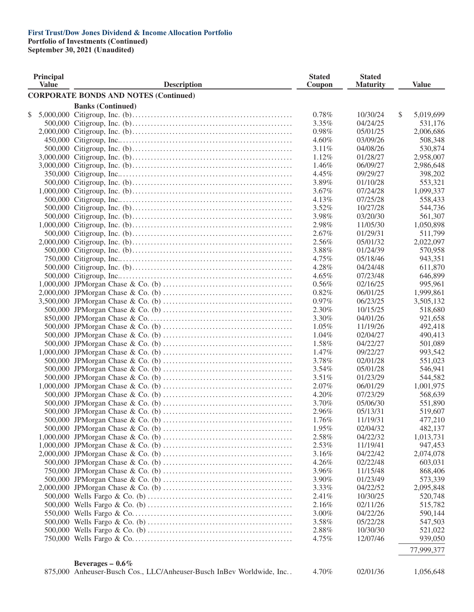**Portfolio of Investments (Continued)**

| <b>Principal</b><br><b>Value</b> | <b>Description</b>                                                   | <b>Stated</b><br>Coupon | <b>Stated</b><br><b>Maturity</b> | <b>Value</b>    |
|----------------------------------|----------------------------------------------------------------------|-------------------------|----------------------------------|-----------------|
|                                  | <b>CORPORATE BONDS AND NOTES (Continued)</b>                         |                         |                                  |                 |
|                                  | <b>Banks (Continued)</b>                                             |                         |                                  |                 |
| \$                               |                                                                      | $0.78\%$                | 10/30/24                         | \$<br>5,019,699 |
|                                  |                                                                      | $3.35\%$                | 04/24/25                         | 531,176         |
|                                  |                                                                      | 0.98%                   | 05/01/25                         | 2,006,686       |
|                                  |                                                                      | $4.60\%$                | 03/09/26                         | 508,348         |
|                                  |                                                                      | 3.11%                   | 04/08/26                         | 530,874         |
|                                  |                                                                      | 1.12%                   | 01/28/27                         | 2,958,007       |
|                                  |                                                                      | 1.46%                   | 06/09/27                         | 2,986,648       |
|                                  |                                                                      | 4.45%                   | 09/29/27                         | 398,202         |
|                                  |                                                                      | 3.89%                   | 01/10/28                         | 553,321         |
|                                  |                                                                      | 3.67%                   | 07/24/28                         | 1,099,337       |
|                                  |                                                                      | 4.13%                   | 07/25/28                         | 558,433         |
|                                  |                                                                      | 3.52%                   | 10/27/28                         | 544,736         |
|                                  |                                                                      | 3.98%                   | 03/20/30                         | 561,307         |
|                                  |                                                                      | 2.98%                   | 11/05/30                         | 1,050,898       |
|                                  |                                                                      | 2.67%                   | 01/29/31                         | 511,799         |
|                                  |                                                                      | 2.56%                   | 05/01/32                         | 2,022,097       |
|                                  |                                                                      | 3.88%                   | 01/24/39                         | 570,958         |
|                                  |                                                                      | 4.75%                   | 05/18/46                         | 943,351         |
|                                  |                                                                      | 4.28%                   | 04/24/48                         | 611,870         |
|                                  |                                                                      | 4.65%                   | 07/23/48                         | 646,899         |
|                                  |                                                                      | $0.56\%$                | 02/16/25                         | 995,961         |
|                                  |                                                                      | 0.82%                   | 06/01/25                         | 1,999,861       |
|                                  |                                                                      | $0.97\%$                | 06/23/25                         | 3,505,132       |
|                                  |                                                                      | 2.30%                   | 10/15/25                         | 518,680         |
|                                  |                                                                      | 3.30%                   | 04/01/26                         | 921,658         |
|                                  |                                                                      | $1.05\%$                | 11/19/26                         | 492,418         |
|                                  |                                                                      | $1.04\%$                | 02/04/27                         | 490,413         |
|                                  |                                                                      | 1.58%                   | 04/22/27                         | 501,089         |
|                                  |                                                                      | 1.47%                   | 09/22/27                         | 993,542         |
|                                  |                                                                      | 3.78%                   | 02/01/28                         | 551,023         |
|                                  |                                                                      | 3.54%                   | 05/01/28                         | 546,941         |
|                                  |                                                                      | 3.51%                   | 01/23/29                         | 544,582         |
|                                  |                                                                      | 2.07%                   | 06/01/29                         | 1,001,975       |
|                                  |                                                                      | 4.20%                   | 07/23/29                         | 568,639         |
|                                  |                                                                      | 3.70%                   | 05/06/30                         | 551,890         |
|                                  |                                                                      | 2.96%                   | 05/13/31                         | 519,607         |
|                                  |                                                                      | 1.76%                   | 11/19/31                         | 477,210         |
|                                  |                                                                      | 1.95%                   | 02/04/32                         | 482,137         |
|                                  |                                                                      | 2.58%                   | 04/22/32                         | 1,013,731       |
|                                  |                                                                      | 2.53%                   | 11/19/41                         | 947,453         |
|                                  |                                                                      | $3.16\%$                | 04/22/42                         | 2,074,078       |
|                                  |                                                                      | 4.26%                   | 02/22/48                         | 603,031         |
|                                  |                                                                      | 3.96%                   | 11/15/48                         | 868,406         |
|                                  |                                                                      | 3.90%                   | 01/23/49                         | 573,339         |
|                                  |                                                                      |                         | 04/22/52                         |                 |
|                                  |                                                                      | 3.33%                   |                                  | 2,095,848       |
|                                  |                                                                      | 2.41%                   | 10/30/25                         | 520,748         |
|                                  |                                                                      | 2.16%                   | 02/11/26                         | 515,782         |
|                                  |                                                                      | 3.00%                   | 04/22/26                         | 590,144         |
|                                  |                                                                      | 3.58%                   | 05/22/28                         | 547,503         |
|                                  |                                                                      | 2.88%                   | 10/30/30                         | 521,022         |
|                                  |                                                                      | 4.75%                   | 12/07/46                         | 939,050         |
|                                  |                                                                      |                         |                                  | 77,999,377      |
|                                  | Beverages $-0.6\%$                                                   |                         |                                  |                 |
|                                  | 875,000 Anheuser-Busch Cos., LLC/Anheuser-Busch InBev Worldwide, Inc | 4.70%                   | 02/01/36                         | 1,056,648       |
|                                  |                                                                      |                         |                                  |                 |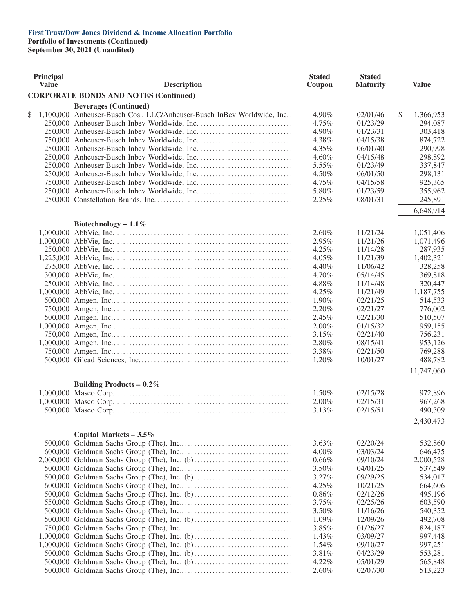**Portfolio of Investments (Continued)**

| Principal<br><b>Value</b> | <b>Description</b>                                                     | <b>Stated</b><br>Coupon | <b>Stated</b><br><b>Maturity</b> | <b>Value</b>    |
|---------------------------|------------------------------------------------------------------------|-------------------------|----------------------------------|-----------------|
|                           | <b>CORPORATE BONDS AND NOTES (Continued)</b>                           |                         |                                  |                 |
|                           | <b>Beverages (Continued)</b>                                           |                         |                                  |                 |
| \$                        | 1,100,000 Anheuser-Busch Cos., LLC/Anheuser-Busch InBev Worldwide, Inc | 4.90%                   | 02/01/46                         | \$<br>1,366,953 |
|                           |                                                                        | 4.75%                   | 01/23/29                         | 294,087         |
|                           |                                                                        | 4.90%                   | 01/23/31                         | 303,418         |
|                           |                                                                        | 4.38%                   | 04/15/38                         | 874,722         |
|                           |                                                                        | 4.35%                   | 06/01/40                         | 290,998         |
|                           |                                                                        | 4.60%                   | 04/15/48                         | 298,892         |
|                           |                                                                        | 5.55%                   | 01/23/49                         | 337,847         |
|                           |                                                                        | 4.50%                   | 06/01/50                         | 298,131         |
|                           |                                                                        | 4.75%                   | 04/15/58                         | 925,365         |
|                           |                                                                        | 5.80%                   | 01/23/59                         | 355,962         |
|                           |                                                                        | 2.25%                   | 08/01/31                         | 245,891         |
|                           |                                                                        |                         |                                  |                 |
|                           |                                                                        |                         |                                  | 6,648,914       |
|                           | Biotechnology - $1.1\%$                                                |                         |                                  |                 |
|                           |                                                                        | 2.60%                   | 11/21/24                         | 1,051,406       |
|                           |                                                                        | 2.95%                   | 11/21/26                         | 1,071,496       |
|                           |                                                                        | 4.25%                   | 11/14/28                         | 287,935         |
|                           |                                                                        | 4.05%                   | 11/21/39                         | 1,402,321       |
|                           |                                                                        | 4.40%                   | 11/06/42                         | 328,258         |
|                           |                                                                        | 4.70%                   | 05/14/45                         | 369,818         |
|                           |                                                                        | 4.88%                   | 11/14/48                         | 320,447         |
|                           |                                                                        | 4.25%                   | 11/21/49                         | 1,187,755       |
|                           |                                                                        | 1.90%                   | 02/21/25                         | 514,533         |
|                           |                                                                        | 2.20%                   | 02/21/27                         | 776,002         |
|                           |                                                                        | 2.45%                   | 02/21/30                         | 510,507         |
|                           |                                                                        | 2.00%                   | 01/15/32                         | 959,155         |
|                           |                                                                        | 3.15%                   | 02/21/40                         | 756,231         |
|                           |                                                                        | 2.80%                   | 08/15/41                         | 953,126         |
|                           |                                                                        | 3.38%                   | 02/21/50                         | 769,288         |
|                           |                                                                        | 1.20%                   | 10/01/27                         | 488,782         |
|                           |                                                                        |                         |                                  |                 |
|                           |                                                                        |                         |                                  | 11,747,060      |
|                           | Building Products – $0.2\%$                                            |                         |                                  |                 |
|                           |                                                                        | 1.50%                   | 02/15/28                         | 972,896         |
|                           |                                                                        | 2.00%                   | 02/15/31                         | 967,268         |
|                           |                                                                        | 3.13%                   | 02/15/51                         | 490,309         |
|                           |                                                                        |                         |                                  |                 |
|                           |                                                                        |                         |                                  | 2,430,473       |
|                           | Capital Markets $-3.5\%$                                               |                         |                                  |                 |
|                           |                                                                        | 3.63%                   | 02/20/24                         | 532,860         |
|                           |                                                                        | 4.00%                   | 03/03/24                         | 646,475         |
|                           |                                                                        | 0.66%                   | 09/10/24                         | 2,000,528       |
|                           |                                                                        | 3.50%                   | 04/01/25                         | 537,549         |
|                           |                                                                        | 3.27%                   | 09/29/25                         | 534,017         |
|                           |                                                                        | 4.25%                   | 10/21/25                         | 664,606         |
|                           |                                                                        | 0.86%                   | 02/12/26                         | 495,196         |
|                           |                                                                        | 3.75%                   | 02/25/26                         | 603,590         |
|                           |                                                                        | 3.50%                   | 11/16/26                         | 540,352         |
|                           |                                                                        | 1.09%                   | 12/09/26                         | 492,708         |
|                           |                                                                        | 3.85%                   | 01/26/27                         | 824,187         |
|                           |                                                                        | 1.43%                   | 03/09/27                         | 997,448         |
|                           |                                                                        |                         |                                  |                 |
|                           |                                                                        | 1.54%                   | 09/10/27                         | 997,251         |
|                           |                                                                        | 3.81%                   | 04/23/29                         | 553,281         |
|                           |                                                                        | 4.22%                   | 05/01/29                         | 565,848         |
|                           |                                                                        | 2.60%                   | 02/07/30                         | 513,223         |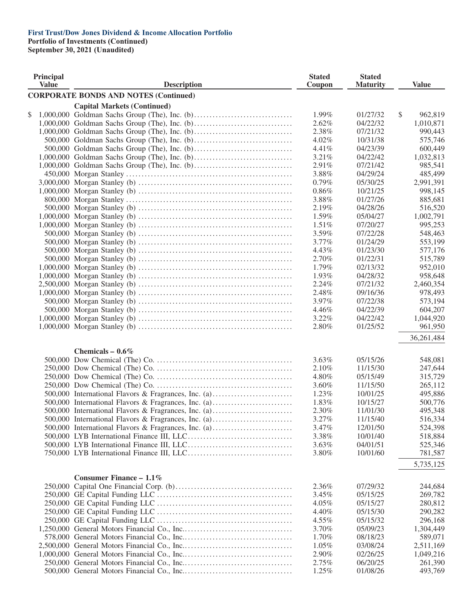**Portfolio of Investments (Continued)**

| Principal<br><b>Value</b> | <b>Description</b>                                                                                           | <b>Stated</b><br>Coupon | <b>Stated</b><br><b>Maturity</b> | <b>Value</b>       |
|---------------------------|--------------------------------------------------------------------------------------------------------------|-------------------------|----------------------------------|--------------------|
|                           | <b>CORPORATE BONDS AND NOTES (Continued)</b>                                                                 |                         |                                  |                    |
|                           | <b>Capital Markets (Continued)</b>                                                                           |                         |                                  |                    |
| \$                        |                                                                                                              | 1.99%                   | 01/27/32                         | \$<br>962,819      |
|                           |                                                                                                              | 2.62%                   | 04/22/32                         | 1,010,871          |
|                           |                                                                                                              | 2.38%                   | 07/21/32                         | 990,443            |
|                           |                                                                                                              | 4.02%                   | 10/31/38                         | 575,746            |
|                           |                                                                                                              | 4.41%                   | 04/23/39                         | 600,449            |
|                           |                                                                                                              | 3.21%                   | 04/22/42                         | 1,032,813          |
|                           |                                                                                                              | 2.91%                   | 07/21/42                         | 985,541            |
|                           |                                                                                                              | 3.88%                   | 04/29/24                         | 485,499            |
|                           |                                                                                                              | 0.79%                   | 05/30/25                         | 2,991,391          |
|                           |                                                                                                              | 0.86%                   | 10/21/25                         | 998,145            |
|                           |                                                                                                              | 3.88%                   | 01/27/26                         | 885,681            |
|                           |                                                                                                              | 2.19%                   | 04/28/26                         | 516,520            |
|                           |                                                                                                              | 1.59%                   | 05/04/27                         | 1,002,791          |
|                           |                                                                                                              | 1.51%                   | 07/20/27                         | 995,253            |
|                           |                                                                                                              | 3.59%                   | 07/22/28                         | 548,463            |
|                           |                                                                                                              | $3.77\%$                | 01/24/29                         | 553,199            |
|                           |                                                                                                              | 4.43%                   | 01/23/30                         | 577,176            |
|                           |                                                                                                              | 2.70%                   | 01/22/31                         | 515,789            |
|                           |                                                                                                              | 1.79%                   | 02/13/32                         | 952,010            |
|                           |                                                                                                              | 1.93%                   | 04/28/32                         | 958,648            |
|                           |                                                                                                              | 2.24%                   | 07/21/32                         | 2,460,354          |
|                           |                                                                                                              | 2.48%                   | 09/16/36                         | 978,493            |
|                           |                                                                                                              | 3.97%                   | 07/22/38                         | 573,194            |
|                           |                                                                                                              | 4.46%                   | 04/22/39                         | 604,207            |
|                           |                                                                                                              | 3.22%                   | 04/22/42                         |                    |
|                           |                                                                                                              | 2.80%                   | 01/25/52                         | 1,044,920          |
|                           |                                                                                                              |                         |                                  | 961,950            |
|                           |                                                                                                              |                         |                                  | 36, 261, 484       |
|                           | Chemicals $-0.6\%$                                                                                           |                         |                                  |                    |
|                           |                                                                                                              | 3.63%                   | 05/15/26                         | 548,081            |
|                           |                                                                                                              | 2.10%                   | 11/15/30                         | 247,644            |
|                           |                                                                                                              | 4.80%                   | 05/15/49                         | 315,729            |
|                           |                                                                                                              | 3.60%                   | 11/15/50                         | 265,112            |
|                           | 500,000 International Flavors & Fragrances, Inc. (a)                                                         | 1.23%                   | 10/01/25                         | 495,886            |
|                           |                                                                                                              | 1.83%                   | 10/15/27                         |                    |
|                           | 500,000 International Flavors & Fragrances, Inc. (a)                                                         | 2.30%                   | 11/01/30                         | 500,776<br>495,348 |
|                           | 500,000 International Flavors & Fragrances, Inc. (a)<br>500,000 International Flavors & Fragrances, Inc. (a) | 3.27%                   | 11/15/40                         | 516,334            |
|                           |                                                                                                              |                         |                                  |                    |
|                           | 500,000 International Flavors & Fragrances, Inc. (a)                                                         | 3.47%<br>3.38%          | 12/01/50                         | 524,398<br>518,884 |
|                           |                                                                                                              |                         | 10/01/40                         |                    |
|                           |                                                                                                              | 3.63%                   | 04/01/51                         | 525,346            |
|                           |                                                                                                              | 3.80%                   | 10/01/60                         | 781,587            |
|                           |                                                                                                              |                         |                                  | 5,735,125          |
|                           | Consumer Finance - $1.1\%$                                                                                   |                         |                                  |                    |
|                           |                                                                                                              | 2.36%                   | 07/29/32                         | 244,684            |
|                           |                                                                                                              |                         |                                  |                    |
|                           |                                                                                                              | 3.45%                   | 05/15/25                         | 269,782<br>280,812 |
|                           |                                                                                                              | 4.05%                   | 05/15/27                         |                    |
|                           |                                                                                                              | 4.40%                   | 05/15/30                         | 290,282            |
|                           |                                                                                                              | 4.55%                   | 05/15/32                         | 296,168            |
|                           |                                                                                                              | 3.70%                   | 05/09/23                         | 1,304,449          |
|                           |                                                                                                              | 1.70%                   | 08/18/23                         | 589,071            |
|                           |                                                                                                              | $1.05\%$                | 03/08/24                         | 2,511,169          |
|                           |                                                                                                              | 2.90%                   | 02/26/25                         | 1,049,216          |
|                           |                                                                                                              | 2.75%                   | 06/20/25                         | 261,390            |
|                           |                                                                                                              | 1.25%                   | 01/08/26                         | 493,769            |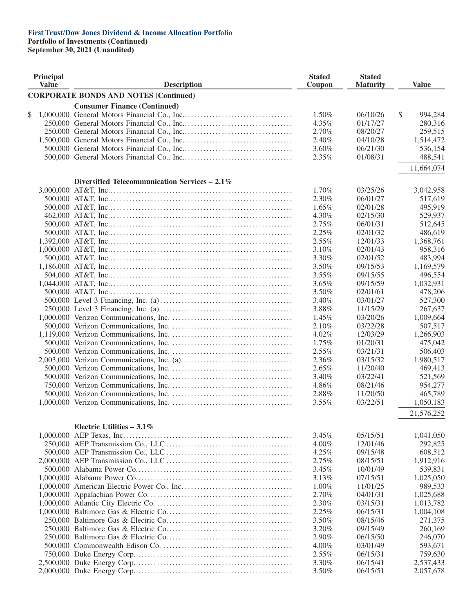**Portfolio of Investments (Continued)**

| Principal<br><b>Value</b> | <b>Description</b>                              | <b>Stated</b><br>Coupon | <b>Stated</b><br><b>Maturity</b> | <b>Value</b>         |
|---------------------------|-------------------------------------------------|-------------------------|----------------------------------|----------------------|
|                           | <b>CORPORATE BONDS AND NOTES (Continued)</b>    |                         |                                  |                      |
|                           | <b>Consumer Finance (Continued)</b>             |                         |                                  |                      |
| \$                        |                                                 | 1.50%                   | 06/10/26                         | \$<br>994,284        |
|                           |                                                 | 4.35%                   | 01/17/27                         | 280,316              |
|                           |                                                 | 2.70%                   | 08/20/27                         | 259,515              |
|                           |                                                 | 2.40%                   | 04/10/28                         | 1,514,472            |
|                           |                                                 | 3.60%                   | 06/21/30                         | 536,154              |
|                           |                                                 | 2.35%                   | 01/08/31                         | 488,541              |
|                           |                                                 |                         |                                  | 11,664,074           |
|                           |                                                 |                         |                                  |                      |
|                           | Diversified Telecommunication Services $-2.1\%$ |                         |                                  |                      |
|                           |                                                 | 1.70%                   | 03/25/26                         | 3,042,958            |
|                           |                                                 | 2.30%                   | 06/01/27                         | 517,619              |
|                           |                                                 | $1.65\%$                | 02/01/28                         | 495,919              |
|                           |                                                 | 4.30%<br>2.75%          | 02/15/30<br>06/01/31             | 529,937              |
|                           |                                                 |                         | 02/01/32                         | 512,645              |
|                           |                                                 | 2.25%<br>2.55%          | 12/01/33                         | 486,619<br>1,368,761 |
|                           |                                                 | 3.10%                   | 02/01/43                         | 958,316              |
|                           |                                                 | 3.30%                   | 02/01/52                         | 483,994              |
|                           |                                                 | 3.50%                   | 09/15/53                         | 1,169,579            |
|                           |                                                 | 3.55%                   | 09/15/55                         | 496,554              |
|                           |                                                 | 3.65%                   | 09/15/59                         | 1,032,931            |
|                           |                                                 | 3.50%                   | 02/01/61                         | 478,206              |
|                           |                                                 | 3.40%                   | 03/01/27                         | 527,300              |
|                           |                                                 | 3.88%                   | 11/15/29                         | 267,637              |
|                           |                                                 | 1.45%                   | 03/20/26                         | 1,009,664            |
|                           |                                                 | 2.10%                   | 03/22/28                         | 507,517              |
|                           |                                                 | 4.02%                   | 12/03/29                         | 1,266,903            |
|                           |                                                 | 1.75%                   | 01/20/31                         | 475,042              |
|                           |                                                 | 2.55%                   | 03/21/31                         | 506,403              |
|                           |                                                 | 2.36%                   | 03/15/32                         | 1,980,517            |
|                           |                                                 | 2.65%                   | 11/20/40                         | 469,413              |
|                           |                                                 | 3.40%                   | 03/22/41                         | 521,569              |
|                           |                                                 | 4.86%                   | 08/21/46                         | 954,277              |
|                           |                                                 | 2.88%                   | 11/20/50                         | 465,789              |
|                           |                                                 | $3.55\%$                | 03/22/51                         | 1,050,183            |
|                           |                                                 |                         |                                  | 21,576,252           |
|                           |                                                 |                         |                                  |                      |
|                           | Electric Utilities $-3.1\%$                     |                         |                                  |                      |
|                           |                                                 | 3.45%                   | 05/15/51                         | 1,041,050            |
|                           |                                                 | 4.00%                   | 12/01/46                         | 292,825              |
|                           |                                                 | 4.25%                   | 09/15/48                         | 608,512              |
|                           |                                                 | 2.75%                   | 08/15/51                         | 1,912,916            |
|                           |                                                 | 3.45%                   | 10/01/49                         | 539,831              |
|                           |                                                 | 3.13%                   | 07/15/51                         | 1,025,050            |
|                           |                                                 | 1.00%                   | 11/01/25                         | 989,533              |
|                           |                                                 | 2.70%                   | 04/01/31                         | 1,025,688            |
|                           |                                                 | 2.30%                   | 03/15/31                         | 1,013,782            |
|                           |                                                 | 2.25%                   | 06/15/31                         | 1,004,108            |
|                           |                                                 | 3.50%                   | 08/15/46                         | 271,375              |
|                           |                                                 | 3.20%                   | 09/15/49                         | 260,169              |
|                           |                                                 | 2.90%                   | 06/15/50                         | 246,070              |
|                           |                                                 | 4.00%<br>$2.55\%$       | 03/01/49<br>06/15/31             | 593,671<br>759,630   |
|                           |                                                 | 3.30%                   | 06/15/41                         | 2,537,433            |
|                           |                                                 | 3.50%                   | 06/15/51                         |                      |
|                           |                                                 |                         |                                  | 2,057,678            |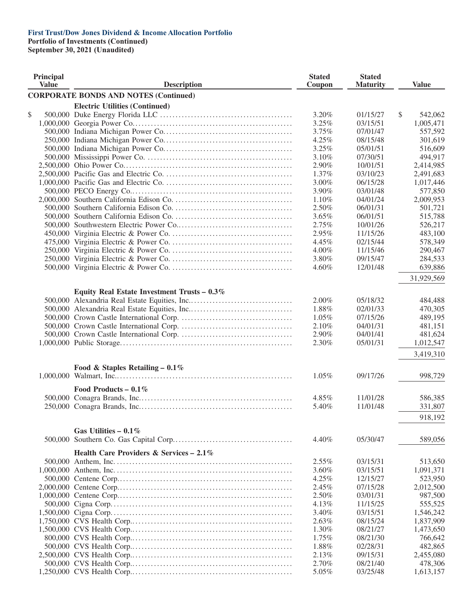**Portfolio of Investments (Continued)**

| Principal<br><b>Value</b> | <b>Description</b>                            | <b>Stated</b><br>Coupon | <b>Stated</b><br><b>Maturity</b> | <b>Value</b>  |
|---------------------------|-----------------------------------------------|-------------------------|----------------------------------|---------------|
|                           | <b>CORPORATE BONDS AND NOTES (Continued)</b>  |                         |                                  |               |
|                           | <b>Electric Utilities (Continued)</b>         |                         |                                  |               |
| \$                        |                                               | 3.20%                   | 01/15/27                         | \$<br>542,062 |
|                           |                                               | 3.25%                   | 03/15/51                         | 1,005,471     |
|                           |                                               | 3.75%                   | 07/01/47                         | 557,592       |
|                           |                                               | 4.25%                   | 08/15/48                         | 301,619       |
|                           |                                               | 3.25%                   | 05/01/51                         | 516,609       |
|                           |                                               | 3.10%                   | 07/30/51                         | 494,917       |
|                           |                                               | 2.90%                   | 10/01/51                         | 2,414,985     |
|                           |                                               | 1.37%                   | 03/10/23                         | 2,491,683     |
|                           |                                               | 3.00%                   | 06/15/28                         | 1,017,446     |
|                           |                                               | 3.90%                   | 03/01/48                         | 577,850       |
|                           |                                               | 1.10%                   | 04/01/24                         | 2,009,953     |
|                           |                                               | 2.50%                   | 06/01/31                         | 501,721       |
|                           |                                               | 3.65%                   | 06/01/51                         | 515,788       |
|                           |                                               | 2.75%                   | 10/01/26                         | 526,217       |
|                           |                                               | 2.95%                   | 11/15/26                         | 483,100       |
|                           |                                               | 4.45%                   | 02/15/44                         | 578,349       |
|                           |                                               |                         |                                  |               |
|                           |                                               | 4.00%                   | 11/15/46                         | 290,467       |
|                           |                                               | 3.80%                   | 09/15/47                         | 284,533       |
|                           |                                               | 4.60%                   | 12/01/48                         | 639,886       |
|                           |                                               |                         |                                  | 31,929,569    |
|                           | Equity Real Estate Investment Trusts $-0.3\%$ |                         |                                  |               |
|                           |                                               | 2.00%                   | 05/18/32                         | 484,488       |
|                           |                                               | 1.88%                   | 02/01/33                         | 470,305       |
|                           |                                               | 1.05%                   | 07/15/26                         | 489,195       |
|                           |                                               | 2.10%                   | 04/01/31                         | 481,151       |
|                           |                                               | 2.90%                   | 04/01/41                         | 481,624       |
|                           |                                               | 2.30%                   | 05/01/31                         | 1,012,547     |
|                           |                                               |                         |                                  | 3,419,310     |
|                           |                                               |                         |                                  |               |
|                           | Food & Staples Retailing - $0.1\%$            |                         |                                  |               |
|                           |                                               | $1.05\%$                | 09/17/26                         | 998,729       |
|                           | Food Products – $0.1\%$                       |                         |                                  |               |
|                           |                                               | 4.85%                   | 11/01/28                         | 586,385       |
|                           |                                               | 5.40%                   | 11/01/48                         | 331,807       |
|                           |                                               |                         |                                  | 918,192       |
|                           |                                               |                         |                                  |               |
|                           | Gas Utilities – $0.1\%$                       | 4.40%                   | 05/30/47                         | 589,056       |
|                           |                                               |                         |                                  |               |
|                           | Health Care Providers & Services $-2.1\%$     |                         |                                  |               |
|                           |                                               | $2.55\%$                | 03/15/31                         | 513,650       |
|                           |                                               | 3.60%                   | 03/15/51                         | 1,091,371     |
|                           |                                               | 4.25%                   | 12/15/27                         | 523,950       |
|                           |                                               | 2.45%                   | 07/15/28                         | 2,012,500     |
|                           |                                               | 2.50%                   | 03/01/31                         | 987,500       |
|                           |                                               | 4.13%                   | 11/15/25                         | 555,525       |
|                           |                                               | 3.40%                   | 03/15/51                         | 1,546,242     |
|                           |                                               | 2.63%                   | 08/15/24                         | 1,837,909     |
|                           |                                               | 1.30%                   | 08/21/27                         | 1,473,650     |
|                           |                                               | 1.75%                   | 08/21/30                         | 766,642       |
|                           |                                               | 1.88%                   | 02/28/31                         | 482,865       |
|                           |                                               | 2.13%                   | 09/15/31                         | 2,455,080     |
|                           |                                               | 2.70%                   | 08/21/40                         | 478,306       |
|                           |                                               | 5.05%                   | 03/25/48                         | 1,613,157     |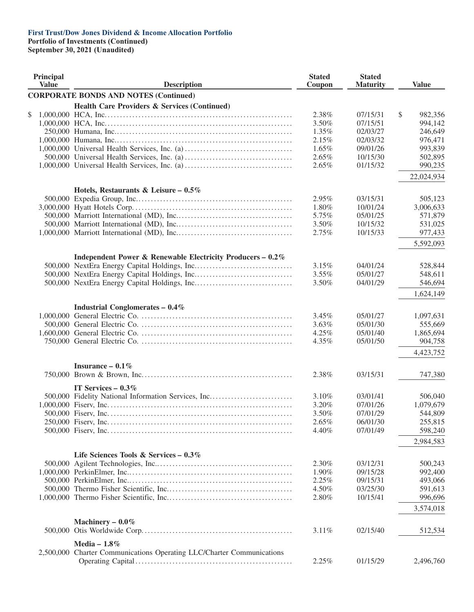**Portfolio of Investments (Continued)**

| Principal<br><b>Value</b> | <b>Description</b>                                                    | <b>Stated</b><br>Coupon | <b>Stated</b><br><b>Maturity</b> | <b>Value</b>         |
|---------------------------|-----------------------------------------------------------------------|-------------------------|----------------------------------|----------------------|
|                           | <b>CORPORATE BONDS AND NOTES (Continued)</b>                          |                         |                                  |                      |
|                           | <b>Health Care Providers &amp; Services (Continued)</b>               |                         |                                  |                      |
| \$                        |                                                                       | 2.38%                   | 07/15/31                         | \$<br>982,356        |
|                           |                                                                       | 3.50%                   | 07/15/51                         | 994,142              |
|                           |                                                                       | 1.35%                   | 02/03/27                         | 246,649              |
|                           |                                                                       | 2.15%                   | 02/03/32                         | 976,471              |
|                           |                                                                       | 1.65%                   | 09/01/26                         | 993,839              |
|                           |                                                                       | 2.65%                   | 10/15/30                         | 502,895              |
|                           |                                                                       | 2.65%                   | 01/15/32                         | 990,235              |
|                           |                                                                       |                         |                                  | 22,024,934           |
|                           |                                                                       |                         |                                  |                      |
|                           | Hotels, Restaurants & Leisure – $0.5\%$                               |                         |                                  |                      |
|                           |                                                                       | 2.95%                   | 03/15/31                         | 505,123              |
|                           |                                                                       | 1.80%                   | 10/01/24                         | 3,006,633            |
|                           |                                                                       | 5.75%                   | 05/01/25                         | 571,879              |
|                           |                                                                       | 3.50%                   | 10/15/32                         | 531,025              |
|                           |                                                                       | 2.75%                   | 10/15/33                         | 977,433              |
|                           |                                                                       |                         |                                  | 5,592,093            |
|                           | Independent Power & Renewable Electricity Producers - 0.2%            |                         |                                  |                      |
|                           |                                                                       | 3.15%                   | 04/01/24                         | 528,844              |
|                           |                                                                       | 3.55%                   | 05/01/27                         | 548,611              |
|                           |                                                                       | 3.50%                   | 04/01/29                         | 546,694              |
|                           |                                                                       |                         |                                  |                      |
|                           |                                                                       |                         |                                  | 1,624,149            |
|                           | <b>Industrial Conglomerates - 0.4%</b>                                |                         |                                  |                      |
|                           |                                                                       | 3.45%                   | 05/01/27                         | 1,097,631            |
|                           |                                                                       | 3.63%                   | 05/01/30                         | 555,669              |
|                           |                                                                       | 4.25%                   | 05/01/40                         | 1,865,694            |
|                           |                                                                       | 4.35%                   | 05/01/50                         | 904,758              |
|                           |                                                                       |                         |                                  | 4,423,752            |
|                           | Insurance $-0.1\%$                                                    |                         |                                  |                      |
|                           |                                                                       | 2.38%                   | 03/15/31                         | 747,380              |
|                           |                                                                       |                         |                                  |                      |
|                           | IT Services - $0.3\%$                                                 |                         |                                  |                      |
|                           | 500,000 Fidelity National Information Services, Inc                   | 3.10%<br>3.20%          | 03/01/41<br>07/01/26             | 506,040              |
|                           |                                                                       |                         |                                  | 1,079,679<br>544,809 |
|                           |                                                                       | 3.50%                   | 07/01/29                         |                      |
|                           |                                                                       | 2.65%                   | 06/01/30                         | 255,815              |
|                           |                                                                       | 4.40%                   | 07/01/49                         | 598,240              |
|                           |                                                                       |                         |                                  | 2,984,583            |
|                           | Life Sciences Tools & Services - $0.3\%$                              |                         |                                  |                      |
|                           |                                                                       | 2.30%                   | 03/12/31                         | 500,243              |
|                           |                                                                       | 1.90%                   | 09/15/28                         | 992,400              |
|                           |                                                                       | 2.25%                   | 09/15/31                         | 493,066              |
|                           |                                                                       | 4.50%                   | 03/25/30                         | 591,613              |
|                           |                                                                       | 2.80%                   | 10/15/41                         | 996,696              |
|                           |                                                                       |                         |                                  | 3,574,018            |
|                           |                                                                       |                         |                                  |                      |
|                           | Machinery $-0.0\%$                                                    |                         |                                  |                      |
|                           |                                                                       | 3.11%                   | 02/15/40                         | 512,534              |
|                           | Media - $1.8\%$                                                       |                         |                                  |                      |
|                           | 2,500,000 Charter Communications Operating LLC/Charter Communications |                         |                                  |                      |
|                           |                                                                       | 2.25%                   | 01/15/29                         | 2,496,760            |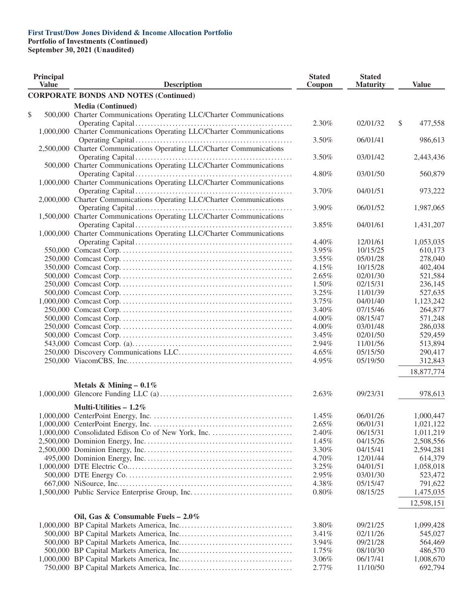**Portfolio of Investments (Continued)**

| Principal<br><b>Value</b> | <b>Description</b>                                                    | <b>Stated</b><br>Coupon | <b>Stated</b><br><b>Maturity</b> | <b>Value</b>  |
|---------------------------|-----------------------------------------------------------------------|-------------------------|----------------------------------|---------------|
|                           | <b>CORPORATE BONDS AND NOTES (Continued)</b>                          |                         |                                  |               |
|                           | <b>Media (Continued)</b>                                              |                         |                                  |               |
| \$                        | 500,000 Charter Communications Operating LLC/Charter Communications   |                         |                                  |               |
|                           |                                                                       | 2.30%                   | 02/01/32                         | \$<br>477,558 |
|                           | 1,000,000 Charter Communications Operating LLC/Charter Communications |                         |                                  |               |
|                           |                                                                       | 3.50%                   | 06/01/41                         | 986,613       |
|                           | 2,500,000 Charter Communications Operating LLC/Charter Communications |                         |                                  |               |
|                           |                                                                       | 3.50%                   | 03/01/42                         | 2,443,436     |
|                           | 500,000 Charter Communications Operating LLC/Charter Communications   |                         |                                  |               |
|                           |                                                                       | 4.80%                   | 03/01/50                         | 560,879       |
|                           | 1,000,000 Charter Communications Operating LLC/Charter Communications |                         |                                  |               |
|                           |                                                                       | 3.70%                   | 04/01/51                         | 973,222       |
|                           | 2,000,000 Charter Communications Operating LLC/Charter Communications |                         |                                  |               |
|                           |                                                                       | 3.90%                   | 06/01/52                         | 1,987,065     |
|                           | 1,500,000 Charter Communications Operating LLC/Charter Communications |                         |                                  |               |
|                           |                                                                       | 3.85%                   | 04/01/61                         | 1,431,207     |
|                           | 1,000,000 Charter Communications Operating LLC/Charter Communications |                         |                                  |               |
|                           |                                                                       | 4.40%                   | 12/01/61                         | 1,053,035     |
|                           |                                                                       | 3.95%                   | 10/15/25                         | 610,173       |
|                           |                                                                       | 3.55%                   | 05/01/28                         | 278,040       |
|                           |                                                                       | 4.15%                   | 10/15/28                         | 402,404       |
|                           |                                                                       |                         |                                  |               |
|                           |                                                                       | 2.65%<br>1.50%          | 02/01/30                         | 521,584       |
|                           |                                                                       |                         | 02/15/31                         | 236,145       |
|                           |                                                                       | 3.25%                   | 11/01/39                         | 527,635       |
|                           |                                                                       | 3.75%                   | 04/01/40                         | 1,123,242     |
|                           |                                                                       | 3.40%                   | 07/15/46                         | 264,877       |
|                           |                                                                       | 4.00%                   | 08/15/47                         | 571,248       |
|                           |                                                                       | 4.00%                   | 03/01/48                         | 286,038       |
|                           |                                                                       | 3.45%                   | 02/01/50                         | 529,459       |
|                           |                                                                       | 2.94%                   | 11/01/56                         | 513,894       |
|                           |                                                                       | 4.65%                   | 05/15/50                         | 290,417       |
|                           |                                                                       | 4.95%                   | 05/19/50                         | 312,843       |
|                           |                                                                       |                         |                                  | 18,877,774    |
|                           | Metals & Mining – $0.1\%$                                             |                         |                                  |               |
|                           |                                                                       | 2.63%                   | 09/23/31                         | 978,613       |
|                           | Multi-Utilities $-1.2\%$                                              |                         |                                  |               |
|                           |                                                                       | 1.45%                   | 06/01/26                         | 1,000,447     |
|                           |                                                                       | 2.65%                   | 06/01/31                         | 1,021,122     |
|                           |                                                                       | 2.40%                   | 06/15/31                         | 1,011,219     |
|                           |                                                                       |                         |                                  |               |
|                           |                                                                       | 1.45%                   | 04/15/26                         | 2,508,556     |
|                           |                                                                       | 3.30%                   | 04/15/41                         | 2,594,281     |
|                           |                                                                       | 4.70%                   | 12/01/44                         | 614,379       |
|                           |                                                                       | 3.25%                   | 04/01/51                         | 1,058,018     |
|                           |                                                                       | 2.95%                   | 03/01/30                         | 523,472       |
|                           |                                                                       | 4.38%                   | 05/15/47                         | 791,622       |
|                           |                                                                       | $0.80\%$                | 08/15/25                         | 1,475,035     |
|                           |                                                                       |                         |                                  | 12,598,151    |
|                           | Oil, Gas & Consumable Fuels - $2.0\%$                                 |                         |                                  |               |
|                           |                                                                       | 3.80%                   | 09/21/25                         | 1,099,428     |
|                           |                                                                       | $3.41\%$                | 02/11/26                         | 545,027       |
|                           |                                                                       | 3.94%                   | 09/21/28                         | 564,469       |
|                           |                                                                       | 1.75%                   | 08/10/30                         | 486,570       |
|                           |                                                                       | 3.06%                   | 06/17/41                         | 1,008,670     |
|                           |                                                                       | 2.77%                   | 11/10/50                         | 692,794       |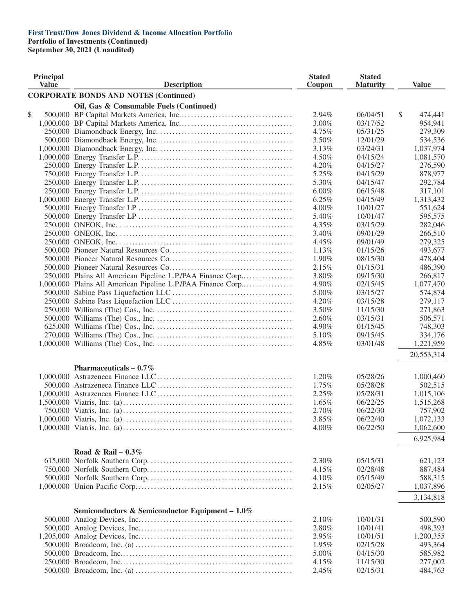**Portfolio of Investments (Continued)**

| <b>Principal</b><br><b>Value</b> | <b>Description</b>                                           | <b>Stated</b><br>Coupon | <b>Stated</b><br><b>Maturity</b> | <b>Value</b>  |
|----------------------------------|--------------------------------------------------------------|-------------------------|----------------------------------|---------------|
|                                  | <b>CORPORATE BONDS AND NOTES (Continued)</b>                 |                         |                                  |               |
|                                  | Oil, Gas & Consumable Fuels (Continued)                      |                         |                                  |               |
| \$                               |                                                              | 2.94%                   | 06/04/51                         | \$<br>474,441 |
|                                  |                                                              | 3.00%                   | 03/17/52                         | 954,941       |
|                                  |                                                              | 4.75%                   | 05/31/25                         | 279,309       |
|                                  |                                                              | 3.50%                   | 12/01/29                         | 534,536       |
|                                  |                                                              | 3.13%                   | 03/24/31                         | 1,037,974     |
|                                  |                                                              | 4.50%                   | 04/15/24                         | 1,081,570     |
|                                  |                                                              | 4.20%                   | 04/15/27                         | 276,590       |
|                                  |                                                              | 5.25%                   | 04/15/29                         | 878,977       |
|                                  |                                                              | 5.30%                   | 04/15/47                         | 292,784       |
|                                  |                                                              | $6.00\%$                | 06/15/48                         | 317,101       |
|                                  |                                                              | 6.25%                   | 04/15/49                         | 1,313,432     |
|                                  |                                                              | 4.00%                   | 10/01/27                         | 551,624       |
|                                  |                                                              | 5.40%                   | 10/01/47                         | 595,575       |
|                                  |                                                              | 4.35%                   | 03/15/29                         | 282,046       |
|                                  |                                                              | 3.40%                   | 09/01/29                         | 266,510       |
|                                  |                                                              | 4.45%                   | 09/01/49                         | 279,325       |
|                                  |                                                              |                         |                                  |               |
|                                  |                                                              | 1.13%                   | 01/15/26                         | 493,677       |
|                                  |                                                              | 1.90%                   | 08/15/30                         | 478,404       |
|                                  |                                                              | 2.15%                   | 01/15/31                         | 486,390       |
|                                  | 250,000 Plains All American Pipeline L.P./PAA Finance Corp   | 3.80%                   | 09/15/30                         | 266,817       |
|                                  | 1,000,000 Plains All American Pipeline L.P./PAA Finance Corp | 4.90%                   | 02/15/45                         | 1,077,470     |
|                                  |                                                              | 5.00%                   | 03/15/27                         | 574,874       |
|                                  |                                                              | 4.20%                   | 03/15/28                         | 279,117       |
|                                  |                                                              | 3.50%                   | 11/15/30                         | 271,863       |
|                                  |                                                              | 2.60%                   | 03/15/31                         | 506,571       |
|                                  |                                                              | 4.90%                   | 01/15/45                         | 748,303       |
|                                  |                                                              | 5.10%                   | 09/15/45                         | 334,176       |
|                                  |                                                              | 4.85%                   | 03/01/48                         | 1,221,959     |
|                                  |                                                              |                         |                                  | 20,553,314    |
|                                  | Pharmaceuticals $-0.7\%$                                     |                         |                                  |               |
|                                  |                                                              | 1.20%                   | 05/28/26                         | 1,000,460     |
|                                  |                                                              | 1.75%                   | 05/28/28                         | 502,515       |
|                                  |                                                              | 2.25%                   | 05/28/31                         | 1,015,106     |
|                                  |                                                              | 1.65%                   | 06/22/25                         | 1,515,268     |
|                                  |                                                              | 2.70%                   | 06/22/30                         | 757,902       |
|                                  |                                                              | 3.85%                   | 06/22/40                         | 1,072,133     |
|                                  |                                                              | 4.00%                   | 06/22/50                         | 1,062,600     |
|                                  |                                                              |                         |                                  | 6,925,984     |
|                                  | Road & Rail – $0.3\%$                                        |                         |                                  |               |
|                                  |                                                              | 2.30%                   | 05/15/31                         | 621,123       |
|                                  |                                                              | 4.15%                   | 02/28/48                         | 887,484       |
|                                  |                                                              | 4.10%                   | 05/15/49                         | 588,315       |
|                                  |                                                              | 2.15%                   | 02/05/27                         | 1,037,896     |
|                                  |                                                              |                         |                                  | 3,134,818     |
|                                  | Semiconductors & Semiconductor Equipment - 1.0%              |                         |                                  |               |
|                                  |                                                              | 2.10%                   | 10/01/31                         | 500,590       |
|                                  |                                                              | 2.80%                   | 10/01/41                         | 498,393       |
|                                  |                                                              |                         |                                  |               |
|                                  |                                                              | 2.95%                   | 10/01/51                         | 1,200,355     |
|                                  |                                                              | 1.95%                   | 02/15/28                         | 493,364       |
|                                  |                                                              | 5.00%                   | 04/15/30                         | 585,982       |
|                                  |                                                              | 4.15%                   | 11/15/30                         | 277,002       |
|                                  |                                                              | 2.45%                   | 02/15/31                         | 484,763       |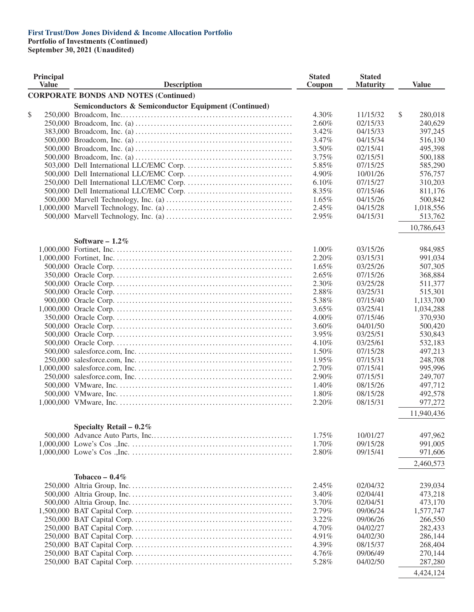**Portfolio of Investments (Continued)**

| Principal<br><b>Value</b> | <b>Description</b>                                              | <b>Stated</b><br>Coupon | <b>Stated</b><br><b>Maturity</b> | <b>Value</b>  |
|---------------------------|-----------------------------------------------------------------|-------------------------|----------------------------------|---------------|
|                           | <b>CORPORATE BONDS AND NOTES (Continued)</b>                    |                         |                                  |               |
|                           | <b>Semiconductors &amp; Semiconductor Equipment (Continued)</b> |                         |                                  |               |
| \$                        |                                                                 | 4.30%                   | 11/15/32                         | \$<br>280,018 |
|                           |                                                                 | 2.60%                   | 02/15/33                         | 240,629       |
|                           |                                                                 | 3.42%                   | 04/15/33                         | 397,245       |
|                           |                                                                 | 3.47%                   | 04/15/34                         | 516,130       |
|                           |                                                                 | 3.50%                   | 02/15/41                         | 495,398       |
|                           |                                                                 | 3.75%                   | 02/15/51                         | 500,188       |
|                           |                                                                 | 5.85%                   | 07/15/25                         | 585,290       |
|                           |                                                                 | 4.90%                   | 10/01/26                         | 576,757       |
|                           |                                                                 | 6.10%                   | 07/15/27                         | 310,203       |
|                           |                                                                 | 8.35%                   | 07/15/46                         | 811,176       |
|                           |                                                                 | 1.65%                   | 04/15/26                         | 500,842       |
|                           |                                                                 | 2.45%                   | 04/15/28                         | 1,018,556     |
|                           |                                                                 | 2.95%                   | 04/15/31                         | 513,762       |
|                           |                                                                 |                         |                                  | 10,786,643    |
|                           | Software $-1.2\%$                                               |                         |                                  |               |
|                           |                                                                 | $1.00\%$                | 03/15/26                         | 984,985       |
|                           |                                                                 | 2.20%                   | 03/15/31                         | 991,034       |
|                           |                                                                 | $1.65\%$                | 03/25/26                         | 507,305       |
|                           |                                                                 | 2.65%                   | 07/15/26                         | 368,884       |
|                           |                                                                 | 2.30%                   | 03/25/28                         | 511,377       |
|                           |                                                                 | 2.88%                   | 03/25/31                         | 515,301       |
|                           |                                                                 | 5.38%                   | 07/15/40                         | 1,133,700     |
|                           |                                                                 | 3.65%                   | 03/25/41                         | 1,034,288     |
|                           |                                                                 | $4.00\%$                | 07/15/46                         | 370,930       |
|                           |                                                                 | 3.60%                   | 04/01/50                         | 500,420       |
|                           |                                                                 | 3.95%                   | 03/25/51                         | 530,843       |
|                           |                                                                 | 4.10%                   | 03/25/61                         | 532,183       |
|                           |                                                                 | 1.50%                   | 07/15/28                         | 497,213       |
|                           |                                                                 | 1.95%                   | 07/15/31                         | 248,708       |
|                           |                                                                 | 2.70%                   | 07/15/41                         | 995,996       |
|                           |                                                                 | 2.90%                   | 07/15/51                         | 249,707       |
|                           |                                                                 | 1.40%                   | 08/15/26                         | 497,712       |
|                           |                                                                 | 1.80%                   | 08/15/28                         | 492,578       |
|                           |                                                                 | 2.20%                   | 08/15/31                         | 977,272       |
|                           |                                                                 |                         |                                  | 11,940,436    |
|                           | Specialty Retail - $0.2\%$                                      |                         |                                  |               |
|                           |                                                                 | $1.75\%$                | 10/01/27                         | 497,962       |
|                           |                                                                 | 1.70%                   | 09/15/28                         | 991,005       |
|                           |                                                                 | 2.80%                   | 09/15/41                         | 971,606       |
|                           |                                                                 |                         |                                  | 2,460,573     |
|                           | Tobacco – $0.4\%$                                               |                         |                                  |               |
|                           |                                                                 | 2.45%                   | 02/04/32                         | 239,034       |
|                           |                                                                 | 3.40%                   | 02/04/41                         | 473,218       |
|                           |                                                                 | 3.70%                   | 02/04/51                         | 473,170       |
|                           |                                                                 | 2.79%                   | 09/06/24                         | 1,577,747     |
|                           |                                                                 | 3.22%                   | 09/06/26                         | 266,550       |
|                           |                                                                 | 4.70%                   | 04/02/27                         | 282,433       |
|                           |                                                                 | 4.91%                   | 04/02/30                         | 286,144       |
|                           |                                                                 | 4.39%                   | 08/15/37                         | 268,404       |
|                           |                                                                 | 4.76%                   | 09/06/49                         | 270,144       |
|                           |                                                                 | 5.28%                   | 04/02/50                         | 287,280       |
|                           |                                                                 |                         |                                  | 4,424,124     |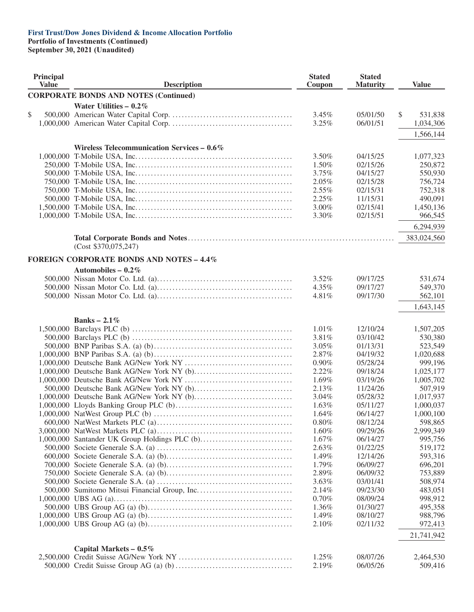**Portfolio of Investments (Continued)**

| Principal<br><b>Value</b> | <b>Description</b>                              | <b>Stated</b><br>Coupon | <b>Stated</b><br><b>Maturity</b> | <b>Value</b>  |
|---------------------------|-------------------------------------------------|-------------------------|----------------------------------|---------------|
|                           | <b>CORPORATE BONDS AND NOTES (Continued)</b>    |                         |                                  |               |
|                           | Water Utilities $-0.2\%$                        |                         |                                  |               |
| \$                        |                                                 | 3.45%                   | 05/01/50                         | \$<br>531,838 |
|                           |                                                 | 3.25%                   | 06/01/51                         | 1,034,306     |
|                           |                                                 |                         |                                  |               |
|                           |                                                 |                         |                                  | 1,566,144     |
|                           | Wireless Telecommunication Services - 0.6%      |                         |                                  |               |
|                           |                                                 | 3.50%                   | 04/15/25                         | 1,077,323     |
|                           |                                                 | 1.50%                   | 02/15/26                         | 250,872       |
|                           |                                                 | 3.75%                   | 04/15/27                         | 550,930       |
|                           |                                                 | 2.05%                   | 02/15/28                         | 756,724       |
|                           |                                                 | 2.55%                   | 02/15/31                         | 752,318       |
|                           |                                                 | 2.25%                   | 11/15/31                         | 490,091       |
|                           |                                                 | 3.00%                   | 02/15/41                         | 1,450,136     |
|                           |                                                 | 3.30%                   | 02/15/51                         | 966,545       |
|                           |                                                 |                         |                                  | 6,294,939     |
|                           |                                                 |                         |                                  | 383,024,560   |
|                           | (Cost \$370,075,247)                            |                         |                                  |               |
|                           | <b>FOREIGN CORPORATE BONDS AND NOTES - 4.4%</b> |                         |                                  |               |
|                           | Automobiles - $0.2\%$                           |                         |                                  |               |
|                           |                                                 | $3.52\%$                | 09/17/25                         | 531,674       |
|                           |                                                 | 4.35%                   | 09/17/27                         | 549,370       |
|                           |                                                 | 4.81%                   | 09/17/30                         | 562,101       |
|                           |                                                 |                         |                                  | 1,643,145     |
|                           |                                                 |                         |                                  |               |
|                           | Banks – $2.1\%$                                 | 1.01%                   | 12/10/24                         | 1,507,205     |
|                           |                                                 | 3.81%                   | 03/10/42                         | 530,380       |
|                           |                                                 | 3.05%                   | 01/13/31                         | 523,549       |
|                           |                                                 | 2.87%                   | 04/19/32                         | 1,020,688     |
|                           |                                                 | 0.90%                   | 05/28/24                         | 999,196       |
|                           |                                                 | 2.22%                   | 09/18/24                         | 1,025,177     |
|                           |                                                 | 1.69%                   | 03/19/26                         | 1,005,702     |
|                           |                                                 | 2.13%                   | 11/24/26                         | 507,919       |
|                           |                                                 | 3.04%                   | 05/28/32                         | 1,017,937     |
|                           |                                                 | 1.63%                   | 05/11/27                         | 1,000,037     |
|                           |                                                 | 1.64%                   | 06/14/27                         | 1,000,100     |
|                           |                                                 | 0.80%                   | 08/12/24                         | 598,865       |
|                           |                                                 | 1.60%                   | 09/29/26                         | 2,999,349     |
|                           | 1,000,000 Santander UK Group Holdings PLC (b)   | 1.67%                   | 06/14/27                         | 995,756       |
|                           |                                                 | 2.63%                   | 01/22/25                         | 519,172       |
|                           |                                                 | 1.49%                   | 12/14/26                         | 593,316       |
|                           |                                                 | 1.79%                   | 06/09/27                         | 696,201       |
|                           |                                                 | 2.89%                   | 06/09/32                         | 753,889       |
|                           |                                                 | 3.63%                   | 03/01/41                         | 508,974       |
|                           |                                                 | 2.14%                   | 09/23/30                         | 483,051       |
|                           |                                                 | 0.70%                   | 08/09/24                         | 998,912       |
|                           |                                                 | 1.36%                   | 01/30/27                         | 495,358       |
|                           |                                                 | 1.49%                   | 08/10/27                         | 988,796       |
|                           |                                                 | 2.10%                   | 02/11/32                         | 972,413       |
|                           |                                                 |                         |                                  | 21,741,942    |
|                           | Capital Markets $-0.5\%$                        |                         |                                  |               |
|                           |                                                 | 1.25%                   | 08/07/26                         | 2,464,530     |
|                           |                                                 | 2.19%                   | 06/05/26                         | 509,416       |
|                           |                                                 |                         |                                  |               |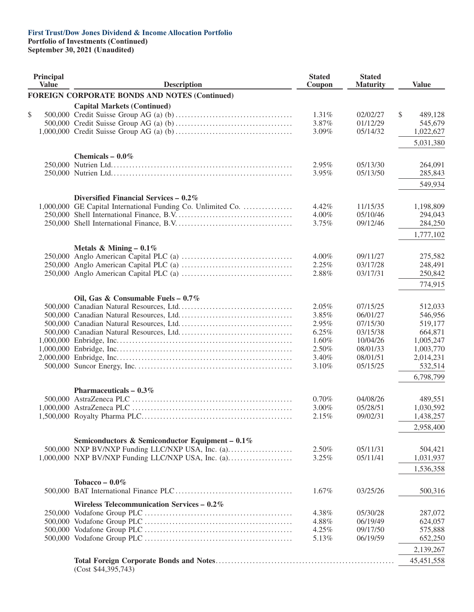**Portfolio of Investments (Continued)**

| Principal<br><b>Value</b> | <b>Description</b>                                                                                     | <b>Stated</b><br>Coupon | <b>Stated</b><br><b>Maturity</b> | <b>Value</b>       |
|---------------------------|--------------------------------------------------------------------------------------------------------|-------------------------|----------------------------------|--------------------|
|                           | <b>FOREIGN CORPORATE BONDS AND NOTES (Continued)</b>                                                   |                         |                                  |                    |
|                           | <b>Capital Markets (Continued)</b>                                                                     |                         |                                  |                    |
| \$                        |                                                                                                        | 1.31%                   | 02/02/27                         | \$<br>489,128      |
|                           |                                                                                                        | 3.87%                   | 01/12/29                         | 545,679            |
|                           |                                                                                                        | 3.09%                   | 05/14/32                         | 1,022,627          |
|                           |                                                                                                        |                         |                                  | 5,031,380          |
|                           | Chemicals $-0.0\%$                                                                                     |                         |                                  |                    |
|                           |                                                                                                        | 2.95%                   | 05/13/30                         | 264,091            |
|                           |                                                                                                        | 3.95%                   | 05/13/50                         | 285,843            |
|                           |                                                                                                        |                         |                                  | 549,934            |
|                           | Diversified Financial Services $-0.2\%$                                                                |                         |                                  |                    |
|                           | 1,000,000 GE Capital International Funding Co. Unlimited Co.                                           | 4.42%                   | 11/15/35                         | 1,198,809          |
|                           |                                                                                                        | 4.00%                   | 05/10/46                         | 294,043            |
|                           |                                                                                                        | 3.75%                   | 09/12/46                         | 284,250            |
|                           |                                                                                                        |                         |                                  | 1,777,102          |
|                           | Metals & Mining – $0.1\%$                                                                              |                         |                                  |                    |
|                           |                                                                                                        | 4.00%                   | 09/11/27                         | 275,582            |
|                           |                                                                                                        | 2.25%                   | 03/17/28                         | 248,491            |
|                           |                                                                                                        | 2.88%                   | 03/17/31                         | 250,842            |
|                           |                                                                                                        |                         |                                  | 774,915            |
|                           |                                                                                                        |                         |                                  |                    |
|                           | Oil, Gas & Consumable Fuels - $0.7\%$                                                                  |                         | 07/15/25                         |                    |
|                           |                                                                                                        | 2.05%<br>3.85%          | 06/01/27                         | 512,033<br>546,956 |
|                           |                                                                                                        | 2.95%                   | 07/15/30                         | 519,177            |
|                           |                                                                                                        | 6.25%                   | 03/15/38                         | 664,871            |
|                           |                                                                                                        | 1.60%                   | 10/04/26                         | 1,005,247          |
|                           |                                                                                                        | 2.50%                   | 08/01/33                         | 1,003,770          |
|                           |                                                                                                        | 3.40%                   | 08/01/51                         | 2,014,231          |
|                           |                                                                                                        | 3.10%                   | 05/15/25                         | 532,514            |
|                           |                                                                                                        |                         |                                  | 6,798,799          |
|                           | Pharmaceuticals $-0.3\%$                                                                               |                         |                                  |                    |
|                           |                                                                                                        | 0.70%                   | 04/08/26                         | 489,551            |
|                           |                                                                                                        | 3.00%                   | 05/28/51                         | 1,030,592          |
|                           | 1,500,000 Royalty Pharma PLC                                                                           | 2.15%                   | 09/02/31                         | 1,438,257          |
|                           |                                                                                                        |                         |                                  | 2,958,400          |
|                           |                                                                                                        |                         |                                  |                    |
|                           | Semiconductors & Semiconductor Equipment - 0.1%                                                        |                         |                                  |                    |
|                           | 500,000 NXP BV/NXP Funding LLC/NXP USA, Inc. (a)<br>1,000,000 NXP BV/NXP Funding LLC/NXP USA, Inc. (a) | 2.50%                   | 05/11/31                         | 504,421            |
|                           |                                                                                                        | 3.25%                   | 05/11/41                         | 1,031,937          |
|                           |                                                                                                        |                         |                                  | 1,536,358          |
|                           | Tobacco - $0.0\%$                                                                                      |                         |                                  |                    |
|                           |                                                                                                        | 1.67%                   | 03/25/26                         | 500,316            |
|                           | Wireless Telecommunication Services - 0.2%                                                             |                         |                                  |                    |
|                           |                                                                                                        | 4.38%                   | 05/30/28                         | 287,072            |
|                           |                                                                                                        | 4.88%                   | 06/19/49                         | 624,057            |
|                           |                                                                                                        | 4.25%                   | 09/17/50                         | 575,888            |
|                           |                                                                                                        | 5.13%                   | 06/19/59                         | 652,250            |
|                           |                                                                                                        |                         |                                  | 2,139,267          |
|                           | (Cost \$44,395,743)                                                                                    |                         |                                  | 45, 451, 558       |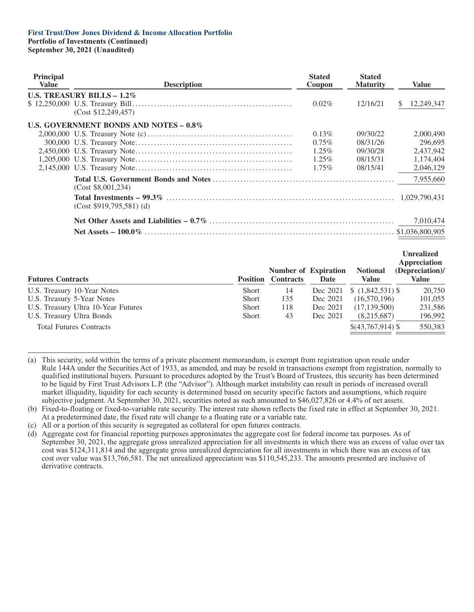**Portfolio of Investments (Continued) September 30, 2021 (Unaudited)**

| <b>Principal</b><br>Value | <b>Description</b>                     | <b>Stated</b><br>Coupon | <b>Stated</b><br><b>Maturity</b> | <b>Value</b>      |
|---------------------------|----------------------------------------|-------------------------|----------------------------------|-------------------|
|                           | U.S. TREASURY BILLS $-1.2\%$           |                         |                                  |                   |
|                           | (Cost \$12,249,457)                    | $0.02\%$                | 12/16/21                         | 12,249,347<br>S.  |
|                           | U.S. GOVERNMENT BONDS AND NOTES - 0.8% |                         |                                  |                   |
|                           |                                        | $0.13\%$                | 09/30/22                         | 2,000,490         |
|                           |                                        | $0.75\%$                | 08/31/26                         | 296,695           |
|                           |                                        | $1.25\%$                | 09/30/28                         | 2,437,942         |
|                           |                                        | $1.25\%$                | 08/15/31                         | 1,174,404         |
|                           |                                        | $1.75\%$                | 08/15/41                         | 2,046,129         |
|                           | (Cost \$8,001,234)                     |                         |                                  | 7,955,660         |
|                           | $(Cost $919,795,581)$ (d)              |                         |                                  | 1,029,790,431     |
|                           |                                        |                         |                                  | 7,010,474         |
|                           |                                        |                         |                                  |                   |
|                           |                                        |                         |                                  | <b>Unrealized</b> |

| <b>Futures Contracts</b>            | <b>Position</b> | <b>Contracts</b> | <b>Number of Expiration</b><br>Date | <b>Notional</b><br><b>Value</b> | UM canzeu<br><b>Appreciation</b><br>(Depreciation)/<br>Value |
|-------------------------------------|-----------------|------------------|-------------------------------------|---------------------------------|--------------------------------------------------------------|
| U.S. Treasury 10-Year Notes         | <b>Short</b>    | 14               | Dec 2021                            | $$(1,842,531)$ \\$              | 20,750                                                       |
| U.S. Treasury 5-Year Notes          | <b>Short</b>    | 135              | Dec 2021                            | (16,570,196)                    | 101,055                                                      |
| U.S. Treasury Ultra 10-Year Futures | <b>Short</b>    | 118              | Dec 2021                            | (17, 139, 500)                  | 231,586                                                      |
| U.S. Treasury Ultra Bonds           | <b>Short</b>    | 43               | Dec 2021                            | (8,215,687)                     | 196,992                                                      |
| <b>Total Futures Contracts</b>      |                 |                  |                                     | \$(43,767,914)                  | 550,383                                                      |

<sup>(</sup>a) This security, sold within the terms of a private placement memorandum, is exempt from registration upon resale under Rule 144A under the Securities Act of 1933, as amended, and may be resold in transactions exempt from registration, normally to qualified institutional buyers. Pursuant to procedures adopted by the Trust's Board of Trustees, this security has been determined to be liquid by First Trust Advisors L.P. (the "Advisor"). Although market instability can result in periods of increased overall market illiquidity, liquidity for each security is determined based on security specific factors and assumptions, which require subjective judgment. At September 30, 2021, securities noted as such amounted to \$46,027,826 or 4.4% of net assets.

(c) All or a portion of this security is segregated as collateral for open futures contracts.

<sup>(</sup>b) Fixed-to-floating or fixed-to-variable rate security. The interest rate shown reflects the fixed rate in effect at September 30, 2021. At a predetermined date, the fixed rate will change to a floating rate or a variable rate.

<sup>(</sup>d) Aggregate cost for financial reporting purposes approximates the aggregate cost for federal income tax purposes. As of September 30, 2021, the aggregate gross unrealized appreciation for all investments in which there was an excess of value over tax cost was \$124,311,814 and the aggregate gross unrealized depreciation for all investments in which there was an excess of tax cost over value was \$13,766,581. The net unrealized appreciation was \$110,545,233. The amounts presented are inclusive of derivative contracts.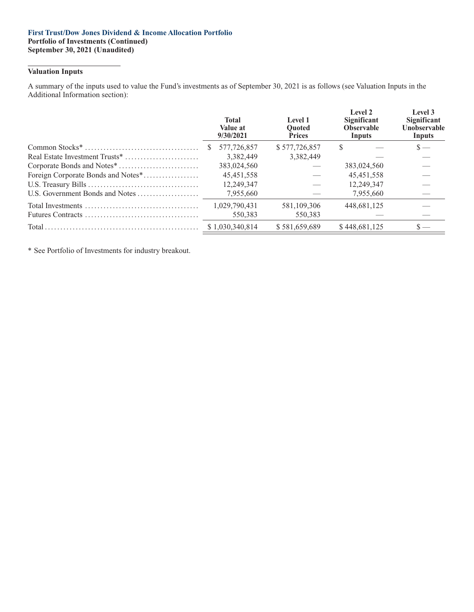#### **First Trust/Dow Jones Dividend & Income Allocation Portfolio Portfolio of Investments (Continued) September 30, 2021 (Unaudited)**

## **Valuation Inputs**

A summary of the inputs used to value the Fund's investments as of September 30, 2021 is as follows (see Valuation Inputs in the Additional Information section):

| <b>Total</b><br>Value at<br>9/30/2021 | Level 1<br><b>Ouoted</b><br><b>Prices</b> |   | Level 3<br>Significant<br>Unobservable<br>Inputs                                                                                              |
|---------------------------------------|-------------------------------------------|---|-----------------------------------------------------------------------------------------------------------------------------------------------|
| 577,726,857                           | \$577,726,857                             | S | $\mathbf{s}$ —                                                                                                                                |
| 3.382.449                             | 3.382.449                                 |   |                                                                                                                                               |
| 383,024,560                           |                                           |   |                                                                                                                                               |
| 45, 451, 558                          |                                           |   |                                                                                                                                               |
| 12,249,347                            |                                           |   |                                                                                                                                               |
| 7,955,660                             |                                           |   |                                                                                                                                               |
| 1,029,790,431                         | 581,109,306                               |   |                                                                                                                                               |
| 550.383                               | 550,383                                   |   |                                                                                                                                               |
|                                       | \$581,659,689                             |   | $\mathbf{s}$ —                                                                                                                                |
| Foreign Corporate Bonds and Notes*    | <b>S</b><br>\$1,030,340,814               |   | Level 2<br>Significant<br><b>Observable</b><br>Inputs<br>383,024,560<br>45,451,558<br>12.249.347<br>7,955,660<br>448,681,125<br>\$448,681,125 |

\* See Portfolio of Investments for industry breakout.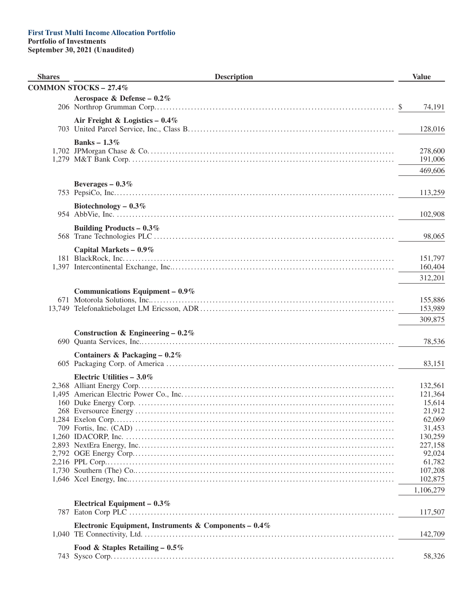| <b>Shares</b> | <b>Description</b>                                       | <b>Value</b>            |
|---------------|----------------------------------------------------------|-------------------------|
|               | <b>COMMON STOCKS - 27.4%</b>                             |                         |
|               | Aerospace & Defense – $0.2\%$                            |                         |
|               |                                                          | 74,191<br><sup>\$</sup> |
|               | Air Freight & Logistics $-0.4\%$                         |                         |
|               |                                                          | 128,016                 |
|               |                                                          |                         |
|               | Banks – $1.3\%$                                          | 278,600                 |
|               |                                                          | 191,006                 |
|               |                                                          | 469,606                 |
|               |                                                          |                         |
|               | Beverages $-0.3\%$                                       |                         |
|               |                                                          | 113,259                 |
|               | Biotechnology – $0.3\%$                                  |                         |
|               |                                                          | 102,908                 |
|               | Building Products – $0.3\%$                              |                         |
|               |                                                          | 98,065                  |
|               | Capital Markets - 0.9%                                   |                         |
|               |                                                          | 151,797                 |
|               |                                                          | 160,404                 |
|               |                                                          | 312,201                 |
|               |                                                          |                         |
|               | Communications Equipment $-0.9\%$                        | 155,886                 |
|               |                                                          | 153,989                 |
|               |                                                          | 309,875                 |
|               |                                                          |                         |
|               | Construction & Engineering – $0.2\%$                     |                         |
|               |                                                          | 78,536                  |
|               | Containers & Packaging $-0.2\%$                          |                         |
|               |                                                          | 83,151                  |
|               | Electric Utilities $-3.0\%$                              |                         |
|               |                                                          | 132,561                 |
|               |                                                          | 121,364                 |
|               |                                                          | 15,614                  |
|               |                                                          | 21,912<br>62,069        |
|               |                                                          | 31,453                  |
|               |                                                          | 130,259                 |
|               |                                                          | 227,158                 |
|               |                                                          | 92,024                  |
|               |                                                          | 61,782                  |
|               |                                                          | 107,208                 |
|               |                                                          | 102,875                 |
|               |                                                          | 1,106,279               |
|               | Electrical Equipment $-0.3\%$                            |                         |
|               |                                                          | 117,507                 |
|               | Electronic Equipment, Instruments & Components – $0.4\%$ |                         |
|               |                                                          | 142,709                 |
|               | Food & Staples Retailing - $0.5\%$                       |                         |
|               |                                                          | 58,326                  |
|               |                                                          |                         |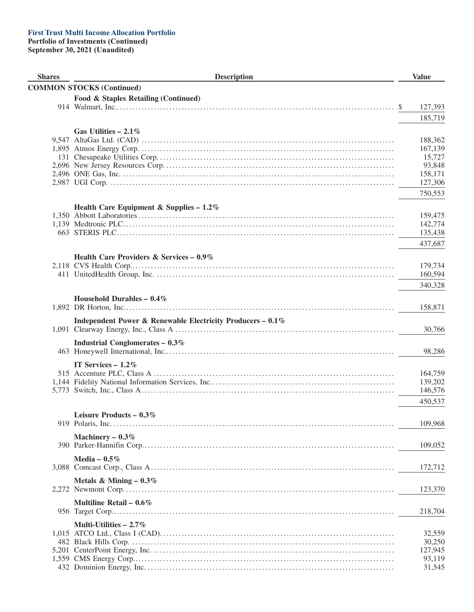| <b>Shares</b> | <b>Description</b>                                         |   | <b>Value</b>     |
|---------------|------------------------------------------------------------|---|------------------|
|               | <b>COMMON STOCKS (Continued)</b>                           |   |                  |
|               | Food & Staples Retailing (Continued)                       |   |                  |
|               |                                                            | S | 127,393          |
|               |                                                            |   | 185,719          |
|               |                                                            |   |                  |
|               | Gas Utilities $-2.1\%$                                     |   | 188,362          |
|               |                                                            |   | 167,139          |
|               |                                                            |   | 15,727           |
|               |                                                            |   | 93,848           |
|               |                                                            |   | 158,171          |
|               |                                                            |   | 127,306          |
|               |                                                            |   | 750,553          |
|               |                                                            |   |                  |
|               | Health Care Equipment & Supplies - $1.2\%$                 |   | 159,475          |
|               |                                                            |   | 142,774          |
|               |                                                            |   | 135,438          |
|               |                                                            |   | 437,687          |
|               |                                                            |   |                  |
|               | Health Care Providers & Services - 0.9%                    |   |                  |
|               |                                                            |   | 179,734          |
|               |                                                            |   | 160,594          |
|               |                                                            |   | 340,328          |
|               | Household Durables - $0.4\%$                               |   |                  |
|               |                                                            |   | 158,871          |
|               |                                                            |   |                  |
|               | Independent Power & Renewable Electricity Producers - 0.1% |   | 30,766           |
|               |                                                            |   |                  |
|               | Industrial Conglomerates $-0.3\%$                          |   |                  |
|               |                                                            |   | 98,286           |
|               | IT Services $-1.2\%$                                       |   |                  |
|               |                                                            |   | 164,759          |
|               |                                                            |   | 139,202          |
|               |                                                            |   | 146,576          |
|               |                                                            |   | 450,537          |
|               | Leisure Products - $0.3\%$                                 |   |                  |
|               |                                                            |   | 109,968          |
|               |                                                            |   |                  |
|               | Machinery $-0.3\%$                                         |   | 109,052          |
|               |                                                            |   |                  |
|               | Media - $0.5\%$                                            |   |                  |
|               |                                                            |   | 172,712          |
|               | Metals & Mining $-0.3\%$                                   |   |                  |
|               |                                                            |   | 123,370          |
|               | Multiline Retail – $0.6\%$                                 |   |                  |
|               |                                                            |   | 218,704          |
|               |                                                            |   |                  |
|               | Multi-Utilities $-2.7\%$                                   |   |                  |
|               |                                                            |   | 32,559           |
|               |                                                            |   | 30,250           |
|               |                                                            |   | 127,945          |
|               |                                                            |   | 93,119<br>31,545 |
|               |                                                            |   |                  |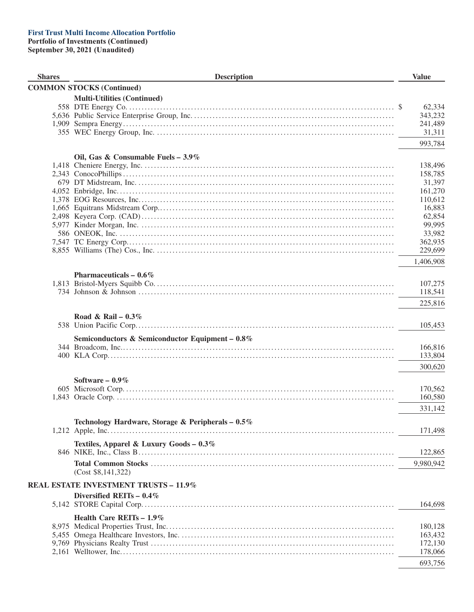| <b>Shares</b> | <b>Description</b>                                | <b>Value</b>       |        |
|---------------|---------------------------------------------------|--------------------|--------|
|               | <b>COMMON STOCKS (Continued)</b>                  |                    |        |
|               | <b>Multi-Utilities (Continued)</b>                |                    |        |
|               |                                                   |                    | 62,334 |
|               |                                                   | 343,232            |        |
|               |                                                   | 241,489            |        |
|               |                                                   |                    | 31,311 |
|               |                                                   | 993,784            |        |
|               | Oil, Gas & Consumable Fuels - 3.9%                |                    |        |
|               |                                                   | 138,496            |        |
|               |                                                   | 158,785            |        |
|               |                                                   |                    | 31,397 |
|               |                                                   | 161,270            |        |
|               |                                                   | 110,612            |        |
|               |                                                   |                    | 16,883 |
|               |                                                   |                    | 62,854 |
|               |                                                   |                    | 99,995 |
|               |                                                   |                    | 33,982 |
|               |                                                   | 362,935<br>229,699 |        |
|               |                                                   |                    |        |
|               |                                                   | 1,406,908          |        |
|               | Pharmaceuticals $-0.6\%$                          |                    |        |
|               |                                                   | 107,275            |        |
|               |                                                   | 118,541            |        |
|               |                                                   | 225,816            |        |
|               | Road & Rail – $0.3\%$                             |                    |        |
|               |                                                   | 105,453            |        |
|               | Semiconductors & Semiconductor Equipment - 0.8%   |                    |        |
|               |                                                   | 166,816            |        |
|               |                                                   | 133,804            |        |
|               |                                                   | 300,620            |        |
|               |                                                   |                    |        |
|               | Software $-0.9\%$                                 |                    |        |
|               |                                                   | 170,562            |        |
|               |                                                   | 160,580            |        |
|               |                                                   | 331,142            |        |
|               | Technology Hardware, Storage & Peripherals - 0.5% |                    |        |
|               |                                                   | 171,498            |        |
|               | Textiles, Apparel & Luxury Goods - 0.3%           |                    |        |
|               |                                                   | 122,865            |        |
|               |                                                   | 9,980,942          |        |
|               | (Cost \$8,141,322)                                |                    |        |
|               | <b>REAL ESTATE INVESTMENT TRUSTS - 11.9%</b>      |                    |        |
|               |                                                   |                    |        |
|               | Diversified REITs $-0.4\%$                        |                    |        |
|               |                                                   | 164,698            |        |
|               | Health Care REITs $-1.9\%$                        |                    |        |
|               |                                                   | 180,128            |        |
|               |                                                   | 163,432            |        |
|               |                                                   | 172,130            |        |
|               |                                                   | 178,066            |        |
|               |                                                   | 693,756            |        |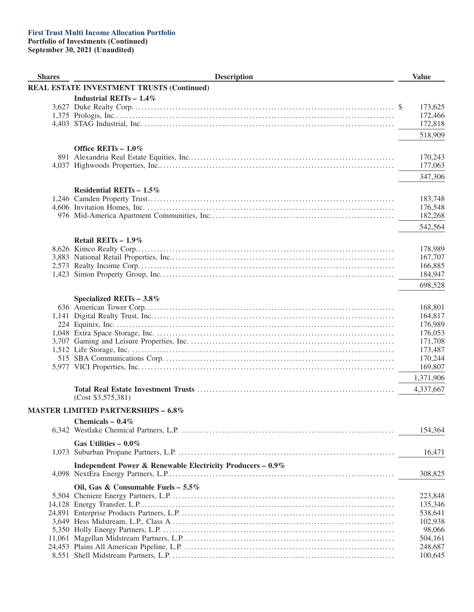| <b>Shares</b> | <b>Description</b>                                         | <b>Value</b>       |
|---------------|------------------------------------------------------------|--------------------|
|               | REAL ESTATE INVESTMENT TRUSTS (Continued)                  |                    |
|               | Industrial REITs $-1.4\%$                                  |                    |
|               |                                                            | 173,625            |
|               |                                                            | 172,466            |
|               |                                                            | 172,818            |
|               |                                                            |                    |
|               |                                                            | 518,909            |
|               | Office REITs $-1.0\%$                                      |                    |
|               |                                                            | 170,243            |
|               |                                                            | 177,063            |
|               |                                                            | 347,306            |
|               |                                                            |                    |
|               | Residential REITs $-1.5\%$                                 |                    |
|               |                                                            | 183,748            |
|               |                                                            | 176,548            |
|               |                                                            | 182,268            |
|               |                                                            | 542,564            |
|               |                                                            |                    |
|               | Retail REITs $-1.9\%$                                      |                    |
|               |                                                            | 178,989            |
|               |                                                            | 167,707            |
|               |                                                            | 166,885            |
|               |                                                            | 184,947            |
|               |                                                            | 698,528            |
|               |                                                            |                    |
|               | Specialized REITs $-3.8\%$                                 |                    |
|               |                                                            | 168,801            |
|               |                                                            | 164,817<br>176,989 |
|               |                                                            | 176,053            |
|               |                                                            |                    |
|               |                                                            | 171,708            |
|               |                                                            | 173,487<br>170,244 |
|               |                                                            | 169,807            |
|               |                                                            |                    |
|               |                                                            | 1,371,906          |
|               |                                                            | 4,337,667          |
|               | (Cost \$3,575,381)                                         |                    |
|               | <b>MASTER LIMITED PARTNERSHIPS - 6.8%</b>                  |                    |
|               | Chemicals - $0.4\%$                                        |                    |
|               |                                                            | 154,364            |
|               |                                                            |                    |
|               | Gas Utilities - $0.0\%$                                    |                    |
|               |                                                            | 16,471             |
|               | Independent Power & Renewable Electricity Producers - 0.9% |                    |
|               |                                                            | 308,825            |
|               |                                                            |                    |
|               | Oil, Gas & Consumable Fuels - $5.5\%$                      |                    |
|               |                                                            | 223,848            |
|               |                                                            | 135,346            |
|               |                                                            | 538,641            |
|               |                                                            | 102,938            |
|               |                                                            | 98,066             |
|               |                                                            | 504,161            |
|               |                                                            | 248,687            |
|               |                                                            | 100,645            |
|               |                                                            |                    |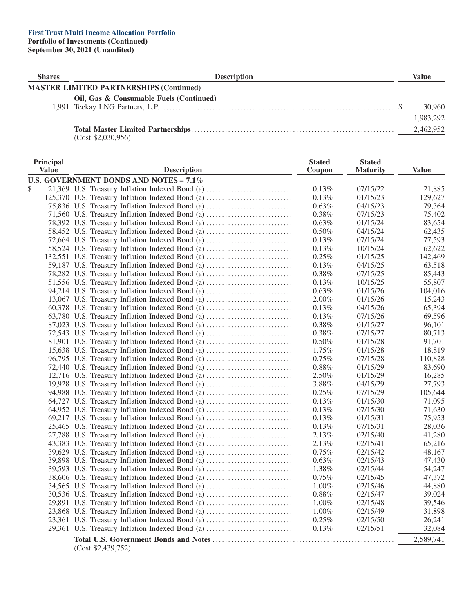| <b>Shares</b> | <b>Description</b>                             | Value     |
|---------------|------------------------------------------------|-----------|
|               | <b>MASTER LIMITED PARTNERSHIPS (Continued)</b> |           |
|               | Oil, Gas & Consumable Fuels (Continued)        | 30,960    |
|               |                                                | 1,983,292 |
|               | .                                              | 2,462,952 |

(Cost \$2,030,956)

| Principal<br><b>Value</b> | <b>Description</b>                                                                                 | <b>Stated</b><br>Coupon | <b>Stated</b><br><b>Maturity</b> | <b>Value</b>      |
|---------------------------|----------------------------------------------------------------------------------------------------|-------------------------|----------------------------------|-------------------|
|                           |                                                                                                    |                         |                                  |                   |
|                           | U.S. GOVERNMENT BONDS AND NOTES - 7.1%                                                             |                         |                                  |                   |
| \$                        | 21,369 U.S. Treasury Inflation Indexed Bond (a)                                                    | $0.13\%$<br>0.13%       | 07/15/22<br>01/15/23             | 21,885<br>129,627 |
|                           | 125,370 U.S. Treasury Inflation Indexed Bond (a)                                                   | 0.63%                   |                                  | 79,364            |
|                           | 75,836 U.S. Treasury Inflation Indexed Bond (a)<br>71,560 U.S. Treasury Inflation Indexed Bond (a) | 0.38%                   | 04/15/23<br>07/15/23             | 75,402            |
|                           | 78,392 U.S. Treasury Inflation Indexed Bond (a)                                                    | 0.63%                   | 01/15/24                         | 83,654            |
|                           |                                                                                                    | $0.50\%$                | 04/15/24                         | 62,435            |
|                           | 58,452 U.S. Treasury Inflation Indexed Bond (a)                                                    | 0.13%                   |                                  | 77,593            |
|                           | 72,664 U.S. Treasury Inflation Indexed Bond (a)                                                    |                         | 07/15/24<br>10/15/24             | 62,622            |
|                           | 58,524 U.S. Treasury Inflation Indexed Bond (a)                                                    | $0.13\%$<br>0.25%       | 01/15/25                         | 142,469           |
|                           | 132,551 U.S. Treasury Inflation Indexed Bond (a)                                                   | 0.13%                   |                                  |                   |
|                           | 59,187 U.S. Treasury Inflation Indexed Bond (a)                                                    |                         | 04/15/25                         | 63,518            |
|                           | 78,282 U.S. Treasury Inflation Indexed Bond (a)                                                    | 0.38%                   | 07/15/25                         | 85,443            |
|                           | 51,556 U.S. Treasury Inflation Indexed Bond (a)                                                    | 0.13%                   | 10/15/25                         | 55,807            |
|                           | 94,214 U.S. Treasury Inflation Indexed Bond (a)                                                    | 0.63%                   | 01/15/26                         | 104,016           |
|                           | 13,067 U.S. Treasury Inflation Indexed Bond (a)                                                    | 2.00%                   | 01/15/26                         | 15,243            |
|                           | 60,378 U.S. Treasury Inflation Indexed Bond (a)                                                    | 0.13%                   | 04/15/26                         | 65,394            |
|                           | 63,780 U.S. Treasury Inflation Indexed Bond (a)                                                    | 0.13%                   | 07/15/26                         | 69,596            |
|                           | 87,023 U.S. Treasury Inflation Indexed Bond (a)                                                    | 0.38%                   | 01/15/27                         | 96,101            |
|                           | 72,543 U.S. Treasury Inflation Indexed Bond (a)                                                    | 0.38%                   | 07/15/27                         | 80,713            |
|                           | 81,901 U.S. Treasury Inflation Indexed Bond (a)                                                    | 0.50%                   | 01/15/28                         | 91,701            |
|                           | 15,638 U.S. Treasury Inflation Indexed Bond (a)                                                    | 1.75%                   | 01/15/28                         | 18,819            |
|                           | 96,795 U.S. Treasury Inflation Indexed Bond (a)                                                    | 0.75%                   | 07/15/28                         | 110,828           |
|                           | 72,440 U.S. Treasury Inflation Indexed Bond (a)                                                    | $0.88\%$                | 01/15/29                         | 83,690            |
|                           | 12,716 U.S. Treasury Inflation Indexed Bond (a)                                                    | 2.50%                   | 01/15/29                         | 16,285            |
|                           | 19,928 U.S. Treasury Inflation Indexed Bond (a)                                                    | 3.88%                   | 04/15/29                         | 27,793            |
|                           | 94,988 U.S. Treasury Inflation Indexed Bond (a)                                                    | 0.25%                   | 07/15/29                         | 105,644           |
|                           | 64,727 U.S. Treasury Inflation Indexed Bond (a)                                                    | 0.13%                   | 01/15/30                         | 71,095            |
|                           | 64,952 U.S. Treasury Inflation Indexed Bond (a)                                                    | $0.13\%$                | 07/15/30                         | 71,630            |
|                           | 69,217 U.S. Treasury Inflation Indexed Bond (a)                                                    | 0.13%                   | 01/15/31                         | 75,953            |
|                           | 25,465 U.S. Treasury Inflation Indexed Bond (a)                                                    | 0.13%                   | 07/15/31                         | 28,036            |
|                           | 27,788 U.S. Treasury Inflation Indexed Bond (a)                                                    | 2.13%                   | 02/15/40                         | 41,280            |
|                           | 43,383 U.S. Treasury Inflation Indexed Bond (a)                                                    | 2.13%                   | 02/15/41                         | 65,216            |
|                           | 39,629 U.S. Treasury Inflation Indexed Bond (a)                                                    | 0.75%                   | 02/15/42                         | 48,167            |
|                           | 39,898 U.S. Treasury Inflation Indexed Bond (a)                                                    | 0.63%                   | 02/15/43                         | 47,430            |
|                           | 39,593 U.S. Treasury Inflation Indexed Bond (a)                                                    | 1.38%                   | 02/15/44                         | 54,247            |
|                           | 38,606 U.S. Treasury Inflation Indexed Bond (a)                                                    | 0.75%                   | 02/15/45                         | 47,372            |
|                           | 34,565 U.S. Treasury Inflation Indexed Bond (a)                                                    | $1.00\%$                | 02/15/46                         | 44,880            |
|                           | 30,536 U.S. Treasury Inflation Indexed Bond (a)                                                    | $0.88\%$                | 02/15/47                         | 39,024            |
|                           | 29,891 U.S. Treasury Inflation Indexed Bond (a)                                                    | 1.00%                   | 02/15/48                         | 39,546            |
|                           | 23,868 U.S. Treasury Inflation Indexed Bond (a)                                                    | 1.00%                   | 02/15/49                         | 31,898            |
|                           | 23,361 U.S. Treasury Inflation Indexed Bond (a)                                                    | 0.25%                   | 02/15/50                         | 26,241            |
|                           | 29,361 U.S. Treasury Inflation Indexed Bond (a)                                                    | 0.13%                   | 02/15/51                         | 32,084            |
|                           |                                                                                                    |                         |                                  |                   |
|                           | (Cost \$2,439,752)                                                                                 |                         |                                  | 2,589,741         |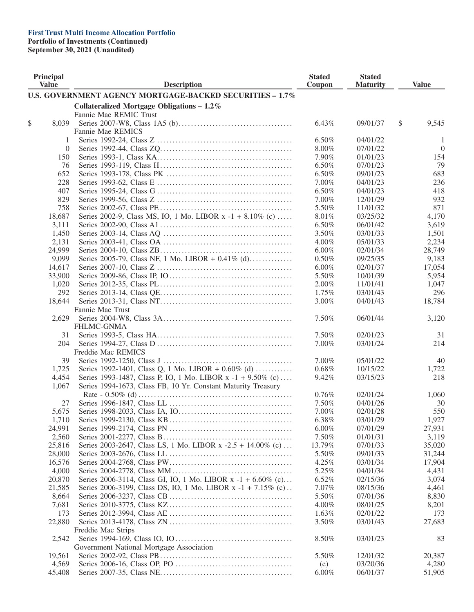# **First Trust Multi Income Allocation Portfolio**

**Portfolio of Investments (Continued)**

| Principal<br><b>Value</b> | <b>Description</b>                                            | <b>Stated</b><br>Coupon | <b>Stated</b><br><b>Maturity</b> | <b>Value</b>   |
|---------------------------|---------------------------------------------------------------|-------------------------|----------------------------------|----------------|
|                           | U.S. GOVERNMENT AGENCY MORTGAGE-BACKED SECURITIES - 1.7%      |                         |                                  |                |
|                           | Collateralized Mortgage Obligations $-1.2\%$                  |                         |                                  |                |
|                           | Fannie Mae REMIC Trust                                        |                         |                                  |                |
| \$<br>8,039               |                                                               | 6.43%                   | 09/01/37                         | \$<br>9,545    |
|                           | Fannie Mae REMICS                                             |                         |                                  |                |
| 1                         |                                                               | 6.50%                   | 04/01/22                         | 1              |
| $\theta$                  |                                                               | 8.00%                   | 07/01/22                         | $\overline{0}$ |
| 150                       |                                                               | 7.90%                   | 01/01/23                         | 154            |
| 76                        |                                                               | 6.50%                   | 07/01/23                         | 79             |
| 652                       |                                                               | 6.50%                   | 09/01/23                         | 683            |
| 228                       |                                                               | 7.00%                   | 04/01/23                         | 236            |
| 407                       |                                                               | 6.50%                   | 04/01/23                         | 418            |
| 829                       |                                                               | 7.00%                   | 12/01/29                         | 932            |
| 758                       |                                                               | 5.50%                   | 11/01/32                         | 871            |
| 18,687                    | Series 2002-9, Class MS, IO, 1 Mo. LIBOR x -1 + 8.10% (c)     | 8.01%                   | 03/25/32                         | 4,170          |
| 3,111                     |                                                               | 6.50%                   | 06/01/42                         | 3,619          |
| 1,450                     |                                                               | 3.50%                   | 03/01/33                         | 1,501          |
| 2,131                     |                                                               | 4.00%                   | 05/01/33                         | 2,234          |
| 24,999                    |                                                               | $6.00\%$                | 02/01/34                         | 28,749         |
| 9,099                     | Series 2005-79, Class NF, 1 Mo. LIBOR + 0.41% (d)             | 0.50%                   | 09/25/35                         | 9,183          |
| 14,617                    |                                                               | $6.00\%$                | 02/01/37                         | 17,054         |
| 33,900                    |                                                               | 5.50%                   | 10/01/39                         | 5,954          |
| 1,020                     |                                                               | 2.00%                   | 11/01/41                         | 1,047          |
| 292                       |                                                               | 1.75%                   | 03/01/43                         | 296            |
| 18,644                    |                                                               | 3.00%                   | 04/01/43                         | 18,784         |
|                           | Fannie Mae Trust                                              |                         |                                  |                |
| 2,629                     |                                                               | 7.50%                   | 06/01/44                         | 3,120          |
|                           | <b>FHLMC-GNMA</b>                                             |                         |                                  |                |
| 31                        |                                                               | 7.50%                   | 02/01/23                         | 31             |
| 204                       |                                                               | 7.00%                   | 03/01/24                         | 214            |
|                           | Freddie Mac REMICS                                            |                         |                                  |                |
| 39                        |                                                               | 7.00%                   | 05/01/22                         | 40             |
| 1,725                     | Series 1992-1401, Class Q, 1 Mo. LIBOR + 0.60% (d)            | 0.68%                   | 10/15/22                         | 1,722          |
| 4,454                     | Series 1993-1487, Class P, IO, 1 Mo. LIBOR x -1 + 9.50% (c)   | 9.42%                   | 03/15/23                         | 218            |
| 1,067                     | Series 1994-1673, Class FB, 10 Yr. Constant Maturity Treasury |                         |                                  |                |
|                           |                                                               | 0.76%                   | 02/01/24                         | 1,060          |
| 27                        |                                                               | 7.50%                   | 04/01/26                         | 30             |
| 5,675                     |                                                               | 7.00%                   | 02/01/28                         | 550            |
| 1,710                     |                                                               | 6.38%                   | 03/01/29                         | 1,927          |
| 24,991                    |                                                               | 6.00%                   | 07/01/29                         | 27,931         |
| 2,560                     |                                                               | 7.50%                   | 01/01/31                         | 3,119          |
| 25,816                    | Series 2003-2647, Class LS, 1 Mo. LIBOR x -2.5 + 14.00% (c)   | 13.79%                  | 07/01/33                         | 35,020         |
| 28,000                    |                                                               | 5.50%                   | 09/01/33                         | 31,244         |
| 16,576                    |                                                               | 4.25%                   | 03/01/34                         | 17,904         |
| 4,000                     |                                                               | 5.25%                   | 04/01/34                         | 4,431          |
| 20,870                    | Series 2006-3114, Class GI, IO, 1 Mo. LIBOR x -1 + 6.60% (c)  | 6.52%                   | 02/15/36                         | 3,074          |
| 21,585                    | Series 2006-3199, Class DS, IO, 1 Mo. LIBOR x -1 + 7.15% (c). | 7.07%                   | 08/15/36                         | 4,461          |
| 8,664                     |                                                               | 5.50%                   | 07/01/36                         | 8,830          |
| 7,681                     |                                                               | $4.00\%$                | 08/01/25                         | 8,201          |
| 173                       |                                                               | 1.63%                   | 02/01/22                         | 173            |
| 22,880                    |                                                               | 3.50%                   | 03/01/43                         | 27,683         |
|                           | Freddie Mac Strips                                            |                         |                                  |                |
| 2,542                     |                                                               | 8.50%                   | 03/01/23                         | 83             |
|                           | Government National Mortgage Association                      |                         |                                  |                |
| 19,561                    |                                                               | 5.50%                   | 12/01/32                         | 20,387         |
| 4,569                     |                                                               | (e)                     | 03/20/36                         | 4,280          |
| 45,408                    |                                                               | $6.00\%$                | 06/01/37                         | 51,905         |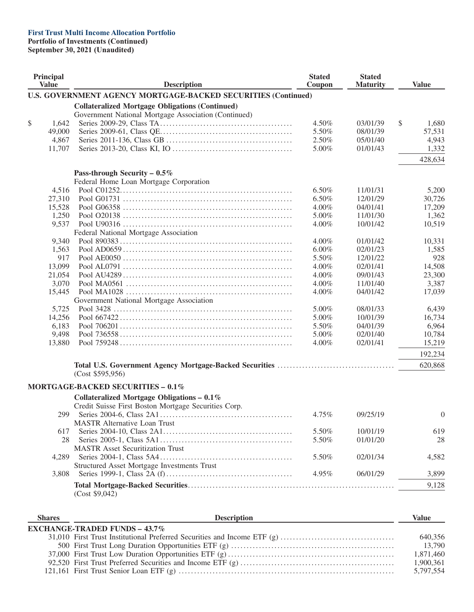## **First Trust Multi Income Allocation Portfolio**

**Portfolio of Investments (Continued)**

| Principal<br><b>Value</b> |        | <b>Description</b>                                                   | <b>Stated</b><br>Coupon | <b>Stated</b><br><b>Maturity</b> | <b>Value</b>     |
|---------------------------|--------|----------------------------------------------------------------------|-------------------------|----------------------------------|------------------|
|                           |        | <b>U.S. GOVERNMENT AGENCY MORTGAGE-BACKED SECURITIES (Continued)</b> |                         |                                  |                  |
|                           |        | <b>Collateralized Mortgage Obligations (Continued)</b>               |                         |                                  |                  |
|                           |        | Government National Mortgage Association (Continued)                 |                         |                                  |                  |
| \$                        | 1,642  |                                                                      | 4.50%                   | 03/01/39                         | \$<br>1,680      |
|                           | 49,000 |                                                                      | 5.50%                   | 08/01/39                         | 57,531           |
|                           | 4,867  |                                                                      | 2.50%                   | 05/01/40                         | 4,943            |
|                           | 11,707 |                                                                      | 5.00%                   | 01/01/43                         | 1,332            |
|                           |        |                                                                      |                         |                                  | 428,634          |
|                           |        |                                                                      |                         |                                  |                  |
|                           |        | Pass-through Security - $0.5\%$                                      |                         |                                  |                  |
|                           |        | Federal Home Loan Mortgage Corporation                               |                         |                                  |                  |
|                           | 4,516  |                                                                      | 6.50%                   | 11/01/31                         | 5,200            |
|                           | 27,310 |                                                                      | 6.50%                   | 12/01/29                         | 30,726           |
|                           | 15,528 |                                                                      | 4.00%                   | 04/01/41                         | 17,209           |
|                           | 1,250  |                                                                      | 5.00%                   | 11/01/30                         | 1,362            |
|                           | 9,537  |                                                                      | 4.00%                   | 10/01/42                         | 10,519           |
|                           |        | Federal National Mortgage Association                                |                         |                                  |                  |
|                           | 9,340  |                                                                      | 4.00%                   | 01/01/42                         | 10,331           |
|                           | 1,563  |                                                                      | $6.00\%$                | 02/01/23                         | 1,585            |
|                           | 917    |                                                                      | 5.50%                   | 12/01/22                         | 928              |
|                           | 13,099 |                                                                      | 4.00%                   | 02/01/41                         | 14,508           |
|                           | 21,054 |                                                                      | 4.00%                   | 09/01/43                         | 23,300           |
|                           | 3,070  |                                                                      | 4.00%                   | 11/01/40                         | 3,387            |
|                           | 15,445 |                                                                      | 4.00%                   | 04/01/42                         | 17,039           |
|                           |        | Government National Mortgage Association                             |                         |                                  |                  |
|                           | 5,725  |                                                                      | 5.00%                   | 08/01/33                         | 6,439            |
|                           | 14,256 |                                                                      | 5.00%                   | 10/01/39                         | 16,734           |
|                           | 6,183  |                                                                      | 5.50%                   | 04/01/39                         | 6,964            |
|                           | 9,498  |                                                                      | 5.00%                   | 02/01/40                         | 10,784           |
|                           |        |                                                                      |                         |                                  |                  |
|                           | 13,880 |                                                                      | $4.00\%$                | 02/01/41                         | 15,219           |
|                           |        |                                                                      |                         |                                  | 192,234          |
|                           |        | (Cost \$595,956)                                                     |                         |                                  | 620,868          |
|                           |        | MORTGAGE-BACKED SECURITIES - 0.1%                                    |                         |                                  |                  |
|                           |        | Collateralized Mortgage Obligations - $0.1\%$                        |                         |                                  |                  |
|                           |        | Credit Suisse First Boston Mortgage Securities Corp.                 |                         |                                  |                  |
|                           | 299    |                                                                      | 4.75%                   | 09/25/19                         | $\boldsymbol{0}$ |
|                           |        | <b>MASTR Alternative Loan Trust</b>                                  |                         |                                  |                  |
|                           | 617    |                                                                      | 5.50%                   | 10/01/19                         | 619              |
|                           |        |                                                                      |                         |                                  |                  |
|                           | 28     |                                                                      | 5.50%                   | 01/01/20                         | 28               |
|                           |        | <b>MASTR Asset Securitization Trust</b>                              |                         |                                  |                  |
|                           | 4,289  |                                                                      | 5.50%                   | 02/01/34                         | 4,582            |
|                           |        | Structured Asset Mortgage Investments Trust                          |                         |                                  |                  |
|                           | 3.808  |                                                                      | 4.95%                   | 06/01/29                         | 3,899            |
|                           |        |                                                                      |                         |                                  | 9,128            |
|                           |        | (Cost \$9,042)                                                       |                         |                                  |                  |

| <b>Shares</b> | <b>Description</b>                   | Value     |
|---------------|--------------------------------------|-----------|
|               | <b>EXCHANGE-TRADED FUNDS - 43.7%</b> |           |
|               |                                      | 640,356   |
|               |                                      | 13,790    |
|               |                                      | 1,871,460 |
|               |                                      | 1,900,361 |
|               |                                      | 5,797,554 |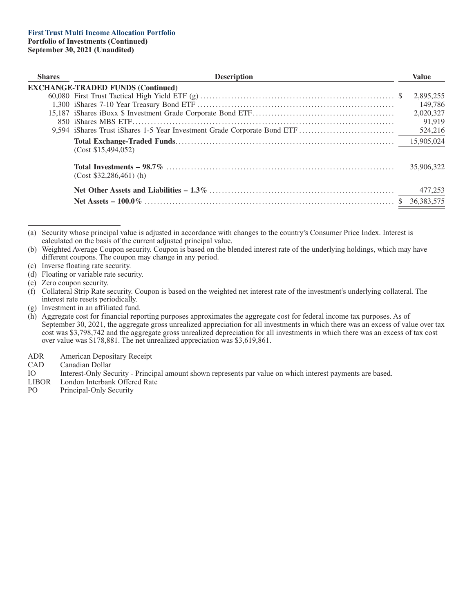| <b>Shares</b> | <b>Description</b>                                                       | <b>Value</b> |
|---------------|--------------------------------------------------------------------------|--------------|
|               | <b>EXCHANGE-TRADED FUNDS (Continued)</b>                                 |              |
|               |                                                                          | 2,895,255    |
|               |                                                                          | 149,786      |
|               |                                                                          | 2,020,327    |
|               |                                                                          | 91.919       |
|               | 9,594 iShares Trust iShares 1-5 Year Investment Grade Corporate Bond ETF | 524,216      |
|               | (Cost \$15,494,052)                                                      | 15,905,024   |
|               | $(Cost $32,286,461)$ (h)                                                 | 35,906,322   |
|               |                                                                          | 477,253      |
|               |                                                                          | 36,383,575   |

(a) Security whose principal value is adjusted in accordance with changes to the country's Consumer Price Index. Interest is calculated on the basis of the current adjusted principal value.

(b) Weighted Average Coupon security. Coupon is based on the blended interest rate of the underlying holdings, which may have different coupons. The coupon may change in any period.

- (c) Inverse floating rate security.
- (d) Floating or variable rate security.

(f) Collateral Strip Rate security. Coupon is based on the weighted net interest rate of the investment's underlying collateral. The interest rate resets periodically.

(g) Investment in an affiliated fund.

- ADR American Depositary Receipt
- CAD Canadian Dollar<br>IO Interest-Only See

IO Interest-Only Security - Principal amount shown represents par value on which interest payments are based.<br>LIBOR London Interbank Offered Rate

- LIBOR London Interbank Offered Rate<br>PO Principal-Only Security
- Principal-Only Security

<sup>(</sup>e) Zero coupon security.

<sup>(</sup>h) Aggregate cost for financial reporting purposes approximates the aggregate cost for federal income tax purposes. As of September 30, 2021, the aggregate gross unrealized appreciation for all investments in which there was an excess of value over tax cost was \$3,798,742 and the aggregate gross unrealized depreciation for all investments in which there was an excess of tax cost over value was \$178,881. The net unrealized appreciation was \$3,619,861.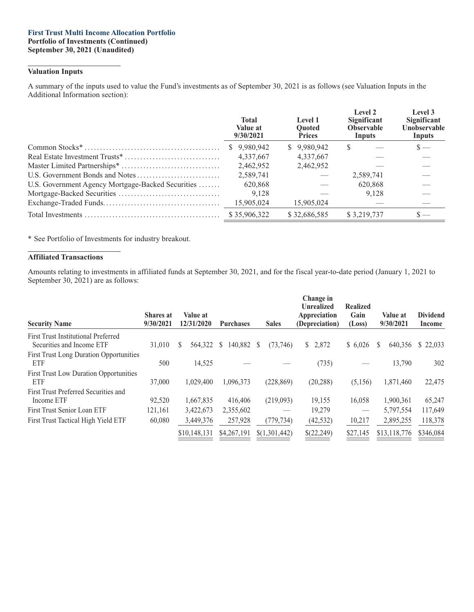#### **First Trust Multi Income Allocation Portfolio Portfolio of Investments (Continued) September 30, 2021 (Unaudited)**

#### **Valuation Inputs**

A summary of the inputs used to value the Fund's investments as of September 30, 2021 is as follows (see Valuation Inputs in the Additional Information section):

|                                                   | <b>Total</b><br>Value at<br>9/30/2021 | Level 1<br><b>Ouoted</b><br><b>Prices</b> | Level 2<br>Significant<br><b>Observable</b><br>Inputs | Level 3<br>Significant<br>Unobservable<br>Inputs |
|---------------------------------------------------|---------------------------------------|-------------------------------------------|-------------------------------------------------------|--------------------------------------------------|
|                                                   | \$9,980,942                           | \$9,980,942                               | S                                                     | $s-$                                             |
|                                                   | 4,337,667                             | 4,337,667                                 |                                                       |                                                  |
|                                                   | 2,462,952                             | 2,462,952                                 |                                                       |                                                  |
|                                                   | 2,589,741                             |                                           | 2,589,741                                             |                                                  |
| U.S. Government Agency Mortgage-Backed Securities | 620,868                               |                                           | 620,868                                               |                                                  |
|                                                   | 9,128                                 |                                           | 9,128                                                 |                                                  |
|                                                   | 15,905,024                            | 15,905,024                                |                                                       |                                                  |
|                                                   | \$35,906,322                          | \$32,686,585                              | \$3,219,737                                           |                                                  |

\* See Portfolio of Investments for industry breakout.

#### **Affiliated Transactions**

Amounts relating to investments in affiliated funds at September 30, 2021, and for the fiscal year-to-date period (January 1, 2021 to September 30, 2021) are as follows:

| <b>Security Name</b>                                                    | <b>Shares</b> at<br>9/30/2021 | Value at<br>12/31/2020 | <b>Purchases</b> | <b>Sales</b>  | Change in<br><b>Unrealized</b><br>Appreciation<br>(Depreciation) | <b>Realized</b><br>Gain<br>(Loss) | Value at<br>9/30/2021 | <b>Dividend</b><br>Income |
|-------------------------------------------------------------------------|-------------------------------|------------------------|------------------|---------------|------------------------------------------------------------------|-----------------------------------|-----------------------|---------------------------|
| <b>First Trust Institutional Preferred</b><br>Securities and Income ETF | 31,010                        | S<br>564,322           | 140,882<br>S.    | (73,746)<br>S | \$2,872                                                          | \$6,026                           | 640,356<br>S.         | \$22,033                  |
| <b>First Trust Long Duration Opportunities</b><br>ETF                   | 500                           | 14,525                 |                  |               | (735)                                                            |                                   | 13,790                | 302                       |
| <b>First Trust Low Duration Opportunities</b><br>ETF                    | 37,000                        | 1,029,400              | 1,096,373        | (228, 869)    | (20, 288)                                                        | (5,156)                           | 1,871,460             | 22,475                    |
| First Trust Preferred Securities and<br>Income ETF                      | 92,520                        | 1,667,835              | 416,406          | (219,093)     | 19,155                                                           | 16,058                            | 1,900,361             | 65,247                    |
| First Trust Senior Loan ETF                                             | 121,161                       | 3,422,673              | 2,355,602        |               | 19.279                                                           | $\qquad \qquad$                   | 5,797,554             | 117,649                   |
| First Trust Tactical High Yield ETF                                     | 60,080                        | 3,449,376              | 257,928          | (779, 734)    | (42, 532)                                                        | 10,217                            | 2,895,255             | 118,378                   |
|                                                                         |                               | \$10,148,131           | \$4,267,191      | \$(1,301,442) | \$(22,249)                                                       | \$27,145                          | \$13,118,776          | \$346,084                 |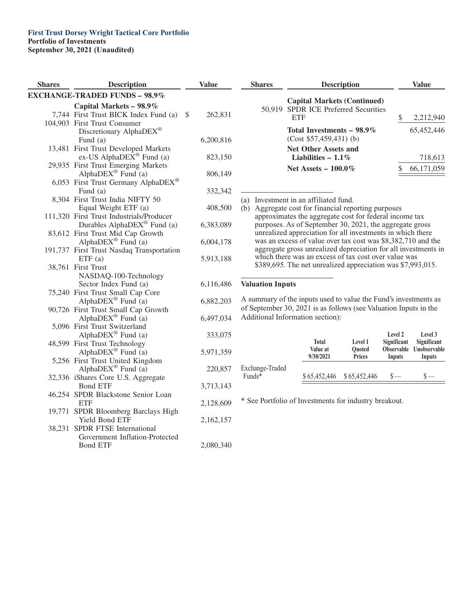## **First Trust Dorsey Wright Tactical Core Portfolio Portfolio of Investments**

**September 30, 2021 (Unaudited)**

| <b>Shares</b> | <b>Description</b>                                  | <b>Value</b> |           |                         |  |
|---------------|-----------------------------------------------------|--------------|-----------|-------------------------|--|
|               | <b>EXCHANGE-TRADED FUNDS - 98.9%</b>                |              |           |                         |  |
|               | Capital Markets - 98.9%                             |              |           |                         |  |
|               | 7,744 First Trust BICK Index Fund (a)               | $\mathbb{S}$ | 262,831   |                         |  |
|               | 104,903 First Trust Consumer                        |              |           |                         |  |
|               | Discretionary AlphaDEX®                             |              |           |                         |  |
|               | Fund (a)                                            |              | 6,200,816 |                         |  |
| 13,481        | First Trust Developed Markets                       |              |           |                         |  |
|               | ex-US AlphaDE $\overline{X}^{\circledast}$ Fund (a) |              | 823,150   |                         |  |
|               | 29,935 First Trust Emerging Markets                 |              |           |                         |  |
|               | AlphaDEX® Fund (a)                                  |              | 806,149   |                         |  |
|               | 6,053 First Trust Germany AlphaDEX®                 |              |           |                         |  |
|               | Fund (a)                                            |              | 332,342   |                         |  |
|               | 8,304 First Trust India NIFTY 50                    |              |           | $\overline{a}$          |  |
|               | Equal Weight ETF (a)                                |              | 408,500   | $\tilde{a}$             |  |
|               | 111,320 First Trust Industrials/Producer            |              |           |                         |  |
|               | Durables AlphaDEX <sup>®</sup> Fund (a)             |              | 6,383,089 |                         |  |
|               | 83,612 First Trust Mid Cap Growth                   |              |           |                         |  |
|               | Alpha $DEX^{\circledR}$ Fund (a)                    |              | 6,004,178 |                         |  |
|               | 191,737 First Trust Nasdaq Transportation           |              |           |                         |  |
|               | ETF(a)<br><b>First Trust</b>                        |              | 5,913,188 |                         |  |
| 38,761        | NASDAQ-100-Technology                               |              |           |                         |  |
|               | Sector Index Fund (a)                               |              | 6,116,486 | $\overline{\mathbf{v}}$ |  |
|               | 75,240 First Trust Small Cap Core                   |              |           |                         |  |
|               | AlphaDEX <sup>®</sup> Fund (a)                      |              | 6,882,203 |                         |  |
|               | 90,726 First Trust Small Cap Growth                 |              |           | $\overline{O}$          |  |
|               | AlphaDEX® Fund (a)                                  |              | 6,497,034 | $\overline{A}$          |  |
|               | 5,096 First Trust Switzerland                       |              |           |                         |  |
|               | Alpha $DEX^{\otimes}$ Fund (a)                      |              | 333,075   |                         |  |
|               | 48,599 First Trust Technology                       |              |           |                         |  |
|               | AlphaDE $X^{\otimes}$ Fund (a)                      |              | 5,971,359 |                         |  |
|               | 5,256 First Trust United Kingdom                    |              |           |                         |  |
|               | AlphaDEX® Fund (a)                                  |              | 220,857   | E                       |  |
|               | 32,336 iShares Core U.S. Aggregate                  |              |           | l                       |  |
|               | <b>Bond ETF</b>                                     |              | 3,713,143 |                         |  |
| 46,254        | SPDR Blackstone Senior Loan                         |              |           |                         |  |
|               | <b>ETF</b>                                          |              | 2,128,609 | $\ast$                  |  |
| 19,771        | SPDR Bloomberg Barclays High                        |              |           |                         |  |
|               | Yield Bond ETF                                      |              | 2,162,157 |                         |  |
| 38,231        | SPDR FTSE International                             |              |           |                         |  |
|               | Government Inflation-Protected                      |              |           |                         |  |
|               | <b>Bond ETF</b>                                     |              | 2,080,340 |                         |  |

| <b>Shares</b> | <b>Description</b>                                                                | Value |            |  |  |
|---------------|-----------------------------------------------------------------------------------|-------|------------|--|--|
|               | <b>Capital Markets (Continued)</b><br>50.919 SPDR ICE Preferred Securities<br>ETF |       | 2,212,940  |  |  |
|               | Total Investments $-98.9\%$<br>$(Cost $57,459,431)$ (b)                           |       | 65,452,446 |  |  |
|               | <b>Net Other Assets and</b><br>Liabilities $-1.1\%$                               |       | 718,613    |  |  |
|               | Net Assets $-100.0\%$                                                             |       | 66,171,059 |  |  |

a) Investment in an affiliated fund.

b) Aggregate cost for financial reporting purposes approximates the aggregate cost for federal income tax purposes. As of September 30, 2021, the aggregate gross unrealized appreciation for all investments in which there was an excess of value over tax cost was \$8,382,710 and the aggregate gross unrealized depreciation for all investments in which there was an excess of tax cost over value was \$389,695. The net unrealized appreciation was \$7,993,015.

#### **Valuation Inputs**

A summary of the inputs used to value the Fund's investments as of September 30, 2021 is as follows (see Valuation Inputs in the Additional Information section):

|                 | Total<br>Value at<br>9/30/2021 | Level 1<br><b>Ouoted</b><br><b>Prices</b> | Level 2<br>Significant<br>Inputs | Level 3<br>Significant<br>Observable Unobservable<br>Inputs |
|-----------------|--------------------------------|-------------------------------------------|----------------------------------|-------------------------------------------------------------|
| Exchange-Traded |                                |                                           |                                  |                                                             |
| $Funds*$        |                                | \$65,452,446 \$65,452,446                 |                                  |                                                             |

See Portfolio of Investments for industry breakout.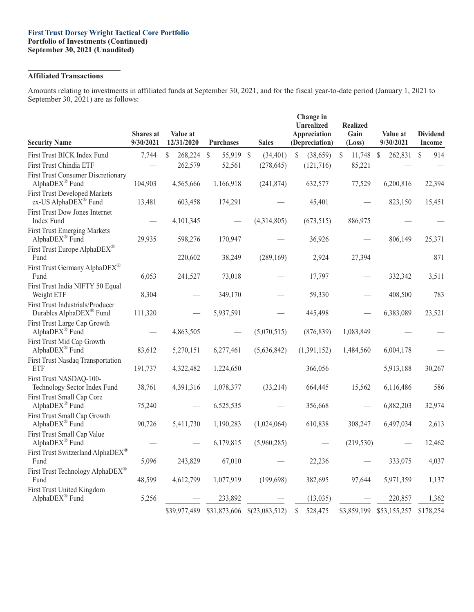#### **First Trust Dorsey Wright Tactical Core Portfolio Portfolio of Investments (Continued) September 30, 2021 (Unaudited)**

## **Affiliated Transactions**

Amounts relating to investments in affiliated funds at September 30, 2021, and for the fiscal year-to-date period (January 1, 2021 to September 30, 2021) are as follows:

| <b>Security Name</b>                                         | <b>Shares</b> at<br>9/30/2021 | Value at<br>12/31/2020 | <b>Purchases</b>           | <b>Sales</b>   | Change in<br><b>Unrealized</b><br>Appreciation<br>(Depreciation) | <b>Realized</b><br>Gain<br>(Loss) | Value at<br>9/30/2021    | <b>Dividend</b><br><b>Income</b> |
|--------------------------------------------------------------|-------------------------------|------------------------|----------------------------|----------------|------------------------------------------------------------------|-----------------------------------|--------------------------|----------------------------------|
| First Trust BICK Index Fund                                  | 7,744                         | \$<br>268,224          | 55,919 \$<br>$\mathcal{S}$ | (34, 401)      | (38,659)<br>S                                                    | 11,748<br>S                       | $\mathcal{S}$<br>262,831 | 914<br><sup>S</sup>              |
| First Trust Chindia ETF                                      |                               | 262,579                | 52,561                     | (278, 645)     | (121, 716)                                                       | 85,221                            |                          |                                  |
| <b>First Trust Consumer Discretionary</b><br>AlphaDEX® Fund  | 104,903                       | 4,565,666              | 1,166,918                  | (241, 874)     | 632,577                                                          | 77,529                            | 6,200,816                | 22,394                           |
| <b>First Trust Developed Markets</b><br>ex-US AlphaDEX® Fund | 13,481                        | 603,458                | 174,291                    |                | 45,401                                                           |                                   | 823,150                  | 15,451                           |
| First Trust Dow Jones Internet<br>Index Fund                 |                               | 4,101,345              |                            | (4,314,805)    | (673, 515)                                                       | 886,975                           |                          |                                  |
| <b>First Trust Emerging Markets</b><br>AlphaDEX® Fund        | 29,935                        | 598,276                | 170,947                    |                | 36,926                                                           |                                   | 806,149                  | 25,371                           |
| First Trust Europe AlphaDEX <sup>®</sup><br>Fund             |                               | 220,602                | 38,249                     | (289, 169)     | 2,924                                                            | 27,394                            |                          | 871                              |
| First Trust Germany AlphaDEX®<br>Fund                        | 6,053                         | 241,527                | 73,018                     |                | 17,797                                                           |                                   | 332,342                  | 3,511                            |
| First Trust India NIFTY 50 Equal<br>Weight ETF               | 8,304                         |                        | 349,170                    |                | 59,330                                                           |                                   | 408,500                  | 783                              |
| First Trust Industrials/Producer<br>Durables AlphaDEX® Fund  | 111,320                       |                        | 5,937,591                  |                | 445,498                                                          |                                   | 6,383,089                | 23,521                           |
| First Trust Large Cap Growth<br>AlphaDEX® Fund               |                               | 4,863,505              |                            | (5,070,515)    | (876, 839)                                                       | 1,083,849                         |                          |                                  |
| First Trust Mid Cap Growth<br>AlphaDEX® Fund                 | 83,612                        | 5,270,151              | 6,277,461                  | (5,636,842)    | (1,391,152)                                                      | 1,484,560                         | 6,004,178                |                                  |
| First Trust Nasdaq Transportation<br><b>ETF</b>              | 191,737                       | 4,322,482              | 1,224,650                  |                | 366,056                                                          |                                   | 5,913,188                | 30,267                           |
| First Trust NASDAQ-100-<br>Technology Sector Index Fund      | 38,761                        | 4,391,316              | 1,078,377                  | (33,214)       | 664,445                                                          | 15,562                            | 6,116,486                | 586                              |
| First Trust Small Cap Core<br>AlphaDEX® Fund                 | 75,240                        |                        | 6,525,535                  |                | 356,668                                                          |                                   | 6,882,203                | 32,974                           |
| First Trust Small Cap Growth<br>AlphaDEX® Fund               | 90,726                        | 5,411,730              | 1,190,283                  | (1,024,064)    | 610,838                                                          | 308,247                           | 6,497,034                | 2,613                            |
| First Trust Small Cap Value<br>AlphaDEX® Fund                |                               |                        | 6,179,815                  | (5,960,285)    |                                                                  | (219, 530)                        |                          | 12,462                           |
| First Trust Switzerland AlphaDEX®<br>Fund                    | 5,096                         | 243,829                | 67,010                     |                | 22,236                                                           |                                   | 333,075                  | 4,037                            |
| First Trust Technology AlphaDEX <sup>®</sup><br>Fund         | 48,599                        | 4,612,799              | 1,077,919                  | (199, 698)     | 382,695                                                          | 97,644                            | 5,971,359                | 1,137                            |
| First Trust United Kingdom<br>AlphaDEX® Fund                 | 5,256                         |                        | 233,892                    |                | (13, 035)                                                        |                                   | 220,857                  | 1,362                            |
|                                                              |                               | \$39,977,489           | \$31,873,606               | \$(23,083,512) | 528,475<br>S                                                     | \$3,859,199                       | \$53,155,257             | \$178,254                        |
|                                                              |                               |                        |                            |                |                                                                  |                                   |                          |                                  |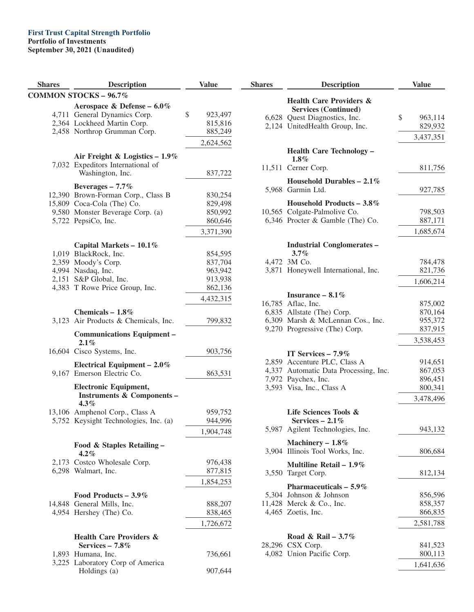## **First Trust Capital Strength Portfolio**

#### **Portfolio of Investments**

| <b>Shares</b> | <b>Description</b>                                                               | <b>Value</b>  | <b>Shares</b> |
|---------------|----------------------------------------------------------------------------------|---------------|---------------|
|               | <b>COMMON STOCKS - 96.7%</b>                                                     |               |               |
|               | Aerospace & Defense - 6.0%                                                       |               |               |
|               | 4,711 General Dynamics Corp.                                                     | \$<br>923,497 |               |
|               | 2,364 Lockheed Martin Corp.                                                      | 815,816       | 6,62          |
|               | 2,458 Northrop Grumman Corp.                                                     | 885,249       | 2,12          |
|               |                                                                                  | 2,624,562     |               |
|               |                                                                                  |               |               |
|               | Air Freight & Logistics $-1.9\%$<br>7,032 Expeditors International of            |               |               |
|               | Washington, Inc.                                                                 | 837,722       | 11,51         |
|               |                                                                                  |               |               |
|               | Beverages $-7.7\%$                                                               |               | 5,96          |
|               | 12,390 Brown-Forman Corp., Class B                                               | 830,254       |               |
|               | 15,809 Coca-Cola (The) Co.                                                       | 829,498       |               |
|               | 9,580 Monster Beverage Corp. (a)                                                 | 850,992       | 10,56         |
|               | 5,722 PepsiCo, Inc.                                                              | 860,646       | 6,34          |
|               |                                                                                  | 3,371,390     |               |
|               | Capital Markets - $10.1\%$                                                       |               |               |
|               | 1,019 BlackRock, Inc.                                                            | 854,595       |               |
|               | 2,359 Moody's Corp.                                                              | 837,704       | 4,47          |
|               | 4,994 Nasdaq, Inc.                                                               | 963,942       | 3,87          |
|               | 2,151 S&P Global, Inc.                                                           | 913,938       |               |
|               | 4,383 T Rowe Price Group, Inc.                                                   | 862,136       |               |
|               |                                                                                  | 4,432,315     |               |
|               |                                                                                  |               | 16,78         |
|               | Chemicals $-1.8\%$                                                               |               | 6,83          |
|               | 3,123 Air Products & Chemicals, Inc.                                             | 799,832       | 6,30          |
|               | <b>Communications Equipment -</b><br>$2.1\%$                                     |               | 9,27          |
|               | 16,604 Cisco Systems, Inc.                                                       | 903,756       |               |
|               | Electrical Equipment $-2.0\%$                                                    |               | 2,85          |
|               | 9,167 Emerson Electric Co.                                                       | 863,531       | 4,33          |
|               |                                                                                  |               | 7,97          |
|               | <b>Electronic Equipment,</b><br><b>Instruments &amp; Components -</b><br>$4.3\%$ |               | 3,59          |
|               | 13,106 Amphenol Corp., Class A                                                   | 959,752       |               |
|               | 5,752 Keysight Technologies, Inc. (a)                                            | 944,996       |               |
|               |                                                                                  | 1,904,748     | 5,98          |
|               |                                                                                  |               |               |
|               | Food & Staples Retailing -<br>$4.2\%$                                            |               | 3,90          |
|               | 2,173 Costco Wholesale Corp.                                                     | 976,438       |               |
|               | 6,298 Walmart, Inc.                                                              | 877,815       |               |
|               |                                                                                  |               | 3,55          |
|               |                                                                                  | 1,854,253     |               |
|               | Food Products $-3.9\%$                                                           |               | 5,30          |
|               | 14,848 General Mills, Inc.                                                       | 888,207       | 11,42         |
|               | 4,954 Hershey (The) Co.                                                          | 838,465       | 4,46          |
|               |                                                                                  | 1,726,672     |               |
|               | <b>Health Care Providers &amp;</b>                                               |               |               |
|               | Services $-7.8\%$                                                                |               | 28,29         |
|               | 1,893 Humana, Inc.                                                               | 736,661       | 4,08          |
|               | 3,225 Laboratory Corp of America                                                 |               |               |
|               | Holdings (a)                                                                     | 907,644       |               |

| <b>Shares</b> | <b>Description</b>                                                | <b>Value</b>       |
|---------------|-------------------------------------------------------------------|--------------------|
|               | <b>Health Care Providers &amp;</b><br><b>Services (Continued)</b> |                    |
| 6,628         | Quest Diagnostics, Inc.                                           | \$<br>963,114      |
|               | 2,124 UnitedHealth Group, Inc.                                    | 829,932            |
|               |                                                                   | 3,437,351          |
|               | <b>Health Care Technology -</b><br>$1.8\%$                        |                    |
|               | 11,511 Cerner Corp.                                               | 811,756            |
|               | Household Durables - $2.1\%$<br>5,968 Garmin Ltd.                 | 927,785            |
|               | Household Products - $3.8\%$                                      |                    |
|               | 10,565 Colgate-Palmolive Co.                                      | 798,503            |
|               | 6,346 Procter & Gamble (The) Co.                                  | 887,171            |
|               |                                                                   | 1,685,674          |
|               | <b>Industrial Conglomerates -</b>                                 |                    |
|               | $3.7\%$                                                           |                    |
| 3.871         | 4,472 3M Co.<br>Honeywell International, Inc.                     | 784,478<br>821,736 |
|               |                                                                   | 1,606,214          |
|               |                                                                   |                    |
|               | Insurance - 8.1%                                                  |                    |
|               | 16,785 Aflac, Inc.<br>6,835 Allstate (The) Corp.                  | 875,002<br>870,164 |
|               | 6,309 Marsh & McLennan Cos., Inc.                                 | 955,372            |
|               | 9,270 Progressive (The) Corp.                                     | 837,915            |
|               |                                                                   | 3,538,453          |
|               | IT Services $-7.9\%$                                              |                    |
|               | 2,859 Accenture PLC, Class A                                      | 914,651            |
| 4,337         | Automatic Data Processing, Inc.                                   | 867,053            |
|               | 7,972 Paychex, Inc.                                               | 896,451            |
|               | 3,593 Visa, Inc., Class A                                         | 800,341            |
|               |                                                                   | 3,478,496          |
|               | Life Sciences Tools &<br>Services $-2.1\%$                        |                    |
|               | 5,987 Agilent Technologies, Inc.                                  | 943,132            |
|               | Machinery - 1.8%                                                  |                    |
| 3.904         | Illinois Tool Works, Inc.                                         | 806,684            |
|               | Multiline Retail $-1.9\%$                                         |                    |
|               | 3,550 Target Corp.                                                | 812,134            |
|               | Pharmaceuticals $-5.9\%$                                          |                    |
|               | 5,304 Johnson & Johnson                                           | 856,596            |
|               | 11,428 Merck & Co., Inc.                                          | 858,357            |
|               | 4,465 Zoetis, Inc.                                                | 866,835            |
|               |                                                                   | 2,581,788          |
|               | Road & Rail - 3.7%                                                |                    |
|               | 28,296 CSX Corp.                                                  | 841,523            |
|               | 4,082 Union Pacific Corp.                                         | 800,113            |
|               |                                                                   | 1,641,636          |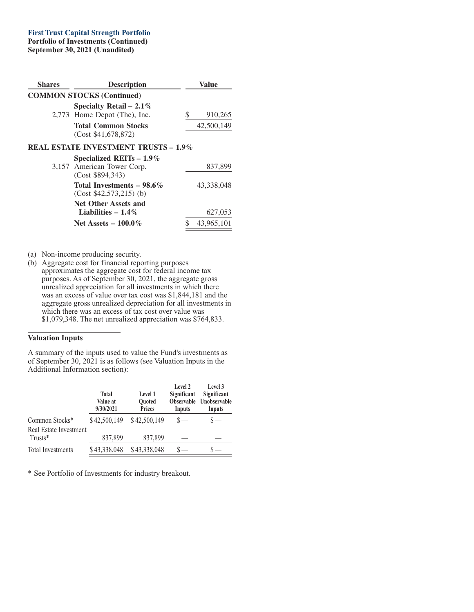## **First Trust Capital Strength Portfolio**

**Portfolio of Investments (Continued) September 30, 2021 (Unaudited)**

| Shares | <b>Description</b>                                      |   | Value      |
|--------|---------------------------------------------------------|---|------------|
|        | <b>COMMON STOCKS (Continued)</b>                        |   |            |
|        | Specialty Retail – 2.1%<br>2,773 Home Depot (The), Inc. | S | 910,265    |
|        | <b>Total Common Stocks</b><br>(Cost \$41,678,872)       |   | 42,500,149 |
|        | <b>REAL ESTATE INVESTMENT TRUSTS - 1.9%</b>             |   |            |
|        | Specialized REITs $-1.9\%$                              |   |            |
|        | 3,157 American Tower Corp.<br>(Cost \$894,343)          |   | 837,899    |
|        | Total Investments – 98.6%<br>$(Cost $42,573,215)$ (b)   |   | 43.338.048 |
|        | <b>Net Other Assets and</b><br>Liabilities $-1.4\%$     |   | 627,053    |
|        | Net Assets $-100.0\%$                                   |   | 43,965,101 |

(a) Non-income producing security.

(b) Aggregate cost for financial reporting purposes approximates the aggregate cost for federal income tax purposes. As of September 30, 2021, the aggregate gross unrealized appreciation for all investments in which there was an excess of value over tax cost was \$1,844,181 and the aggregate gross unrealized depreciation for all investments in which there was an excess of tax cost over value was \$1,079,348. The net unrealized appreciation was \$764,833.

#### **Valuation Inputs**

A summary of the inputs used to value the Fund's investments as of September 30, 2021 is as follows (see Valuation Inputs in the Additional Information section):

|                                   | <b>Total</b><br>Value at<br>9/30/2021 | Level 1<br><b>Ouoted</b><br><b>Prices</b> | Level 2<br>Significant<br><b>Observable</b><br>Inputs | Level 3<br>Significant<br>Unobservable<br>Inputs |
|-----------------------------------|---------------------------------------|-------------------------------------------|-------------------------------------------------------|--------------------------------------------------|
| Common Stocks*                    | \$42,500,149                          | \$42,500,149                              |                                                       |                                                  |
| Real Estate Investment<br>Trusts* | 837,899                               | 837,899                                   |                                                       |                                                  |
| <b>Total Investments</b>          | \$43,338,048                          | \$43,338,048                              |                                                       |                                                  |

\* See Portfolio of Investments for industry breakout.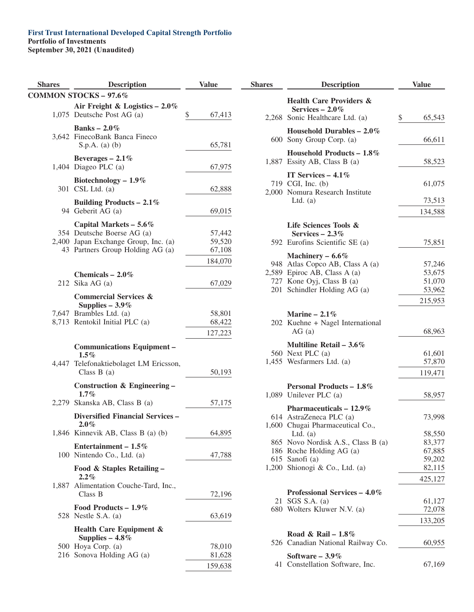# **First Trust International Developed Capital Strength Portfolio**

**Portfolio of Investments**

| <b>Shares</b> | Description                                                                                                                        | <b>Value</b>                          |
|---------------|------------------------------------------------------------------------------------------------------------------------------------|---------------------------------------|
|               | <b>COMMON STOCKS - 97.6%</b>                                                                                                       |                                       |
|               | Air Freight & Logistics $-2.0\%$<br>1,075 Deutsche Post AG (a)                                                                     | \$<br>67,413                          |
|               | Banks – $2.0\%$<br>3,642 FinecoBank Banca Fineco<br>$S.p.A.$ (a) (b)                                                               | 65,781                                |
|               | Beverages $-2.1\%$<br>1,404 Diageo PLC $(a)$                                                                                       | 67,975                                |
|               | Biotechnology $-1.9\%$<br>301 CSL Ltd. (a)                                                                                         | 62,888                                |
|               | Building Products – 2.1%<br>94 Geberit AG (a)                                                                                      | 69,015                                |
|               | Capital Markets $-5.6\%$<br>354 Deutsche Boerse AG (a)<br>2,400 Japan Exchange Group, Inc. (a)<br>43 Partners Group Holding AG (a) | 57,442<br>59,520<br>67,108<br>184,070 |
|               | Chemicals $-2.0\%$<br>212 Sika AG (a)                                                                                              | 67,029                                |
|               | <b>Commercial Services &amp;</b><br>Supplies $-3.9\%$<br>7,647 Brambles Ltd. (a)<br>8,713 Rentokil Initial PLC (a)                 | 58,801<br>68,422<br>127,223           |
| 4.447         | <b>Communications Equipment -</b><br>$1.5\%$<br>Telefonaktiebolaget LM Ericsson,<br>Class $B(a)$                                   | 50,193                                |
| 2.279         | Construction & Engineering -<br>$1.7\%$<br>Skanska AB, Class B (a)                                                                 |                                       |
|               | <b>Diversified Financial Services -</b>                                                                                            | 57,175                                |
|               | $2.0\%$<br>1,846 Kinnevik AB, Class B (a) (b)                                                                                      | 64,895                                |
|               | Entertainment – $1.5\%$<br>100 Nintendo Co., Ltd. (a)                                                                              | 47,788                                |
| 1,887         | Food & Staples Retailing –<br>$2.2\%$<br>Alimentation Couche-Tard, Inc.,<br>Class B                                                | 72,196                                |
|               | Food Products $-1.9\%$<br>528 Nestle S.A. $(a)$                                                                                    | 63,619                                |
|               | Health Care Equipment &<br>Supplies $-4.8\%$                                                                                       |                                       |
|               | 500 Hoya Corp. (a)                                                                                                                 | 78,010                                |
|               | 216 Sonova Holding AG (a)                                                                                                          | 81,628                                |
|               |                                                                                                                                    | 159,638                               |

| <b>Shares</b> | <b>Description</b>                                                                       | <b>Value</b>     |
|---------------|------------------------------------------------------------------------------------------|------------------|
|               | <b>Health Care Providers &amp;</b><br>Services $-2.0\%$                                  |                  |
|               | 2,268 Sonic Healthcare Ltd. (a)                                                          | \$<br>65,543     |
|               | Household Durables $-2.0\%$<br>600 Sony Group Corp. (a)                                  | 66,611           |
|               | Household Products $-1.8\%$<br>1,887 Essity AB, Class B (a)                              | 58,523           |
|               | IT Services $-4.1\%$<br>719 CGI, Inc. (b)<br>2,000 Nomura Research Institute             | 61,075           |
|               | Ltd. $(a)$                                                                               | 73,513           |
|               |                                                                                          | 134,588          |
|               | Life Sciences Tools &<br>Services $-2.3\%$<br>592 Eurofins Scientific SE (a)             | 75,851           |
|               |                                                                                          |                  |
|               | Machinery $-6.6\%$<br>948 Atlas Copco AB, Class A (a)<br>2,589 Epiroc AB, Class A (a)    | 57,246<br>53,675 |
| 201           | 727 Kone Oyj, Class B (a)<br>Schindler Holding AG (a)                                    | 51,070<br>53,962 |
|               |                                                                                          | 215,953          |
|               | Marine $-2.1\%$<br>202 Kuehne + Nagel International<br>AG(a)                             | 68,963           |
|               | Multiline Retail $-3.6\%$<br>560 Next PLC (a)<br>1,455 Wesfarmers Ltd. (a)               | 61,601<br>57,870 |
|               |                                                                                          | 119,471          |
|               | Personal Products - 1.8%<br>1,089 Unilever PLC (a)                                       | 58,957           |
|               | Pharmaceuticals $-12.9\%$<br>614 AstraZeneca PLC (a)<br>1,600 Chugai Pharmaceutical Co., | 73,998           |
|               | Ltd. $(a)$                                                                               | 58,550           |
| 865           | Novo Nordisk A.S., Class B (a)                                                           | 83,377           |
|               | 186 Roche Holding AG (a)                                                                 | 67,885           |
|               | 615 Sanofi (a)<br>1,200 Shionogi & Co., Ltd. (a)                                         | 59,202<br>82,115 |
|               |                                                                                          |                  |
|               | Professional Services - 4.0%                                                             | 425,127          |
| 21            | SGS S.A. (a)                                                                             | 61,127           |
|               | 680 Wolters Kluwer N.V. (a)                                                              | 72,078           |
|               |                                                                                          | 133,205          |
| 526           | Road & Rail – $1.8\%$<br>Canadian National Railway Co.                                   | 60,955           |
| 41            | Software $-3.9\%$<br>Constellation Software, Inc.                                        | 67,169           |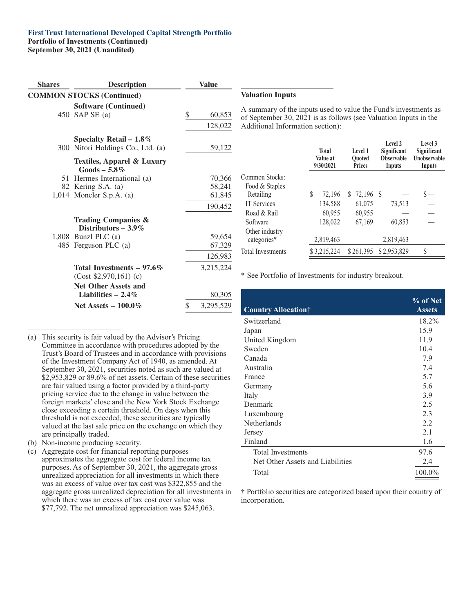#### **First Trust International Developed Capital Strength Portfolio**

#### **Portfolio of Investments (Continued)**

**September 30, 2021 (Unaudited)**

| <b>Shares</b> | <b>Description</b>                                                                                      | <b>Value</b>                |                                                                       |
|---------------|---------------------------------------------------------------------------------------------------------|-----------------------------|-----------------------------------------------------------------------|
|               | <b>COMMON STOCKS (Continued)</b>                                                                        |                             | <b>Valuation Inputs</b>                                               |
|               | <b>Software (Continued)</b><br>450 SAP SE (a)                                                           | \$<br>60,853<br>128,022     | A summary of the inp<br>of September 30, 202<br>Additional Informatio |
|               | Specialty Retail $-1.8\%$<br>300 Nitori Holdings Co., Ltd. (a)<br><b>Textiles, Apparel &amp; Luxury</b> | 59,122                      |                                                                       |
|               | $Goods - 5.8\%$<br>51 Hermes International (a)<br>82 Kering S.A. (a)<br>$1,014$ Moncler S.p.A. (a)      | 70,366<br>58,241<br>61,845  | Common Stocks:<br>Food & Staples<br>Retailing                         |
|               | <b>Trading Companies &amp;</b><br>Distributors $-3.9\%$                                                 | 190,452                     | <b>IT Services</b><br>Road & Rail<br>Software                         |
|               | 1,808 Bunzl PLC $(a)$<br>485 Ferguson PLC (a)                                                           | 59,654<br>67,329<br>126,983 | Other industry<br>categories*<br><b>Total Investments</b>             |
|               | Total Investments $-97.6\%$<br>$(Cost $2,970,161)$ (c)<br><b>Net Other Assets and</b>                   | 3,215,224                   | * See Portfolio of Inv                                                |
|               | Liabilities $-2.4\%$<br>Net Assets $-100.0\%$                                                           | \$<br>80,305<br>3,295,529   | <b>Country Allocation</b>                                             |

puts used to value the Fund's investments as 1 is as follows (see Valuation Inputs in the on section):

|                               | <b>Total</b><br>Value at<br>9/30/2021 | Level 1<br><b>Ouoted</b><br><b>Prices</b> | Level 2<br>Significant<br><b>Observable</b><br>Inputs | Level 3<br>Significant<br><b>Unobservable</b><br>Inputs |
|-------------------------------|---------------------------------------|-------------------------------------------|-------------------------------------------------------|---------------------------------------------------------|
| Common Stocks:                |                                       |                                           |                                                       |                                                         |
| Food & Staples                |                                       |                                           |                                                       |                                                         |
| Retailing                     | S<br>72,196                           | $$72,196$ \, \$                           |                                                       |                                                         |
| <b>IT Services</b>            | 134,588                               | 61,075                                    | 73,513                                                |                                                         |
| Road & Rail                   | 60,955                                | 60,955                                    |                                                       |                                                         |
| Software                      | 128,022                               | 67,169                                    | 60,853                                                |                                                         |
| Other industry<br>categories* | 2,819,463                             |                                           | 2,819,463                                             |                                                         |
| <b>Total Investments</b>      | \$3,215,224                           | \$261,395                                 | \$2,953,829                                           |                                                         |

estments for industry breakout.

|                                  | % of Net      |
|----------------------------------|---------------|
| Country Allocation†              | <b>Assets</b> |
| Switzerland                      | 18.2%         |
| Japan                            | 15.9          |
| United Kingdom                   | 11.9          |
| Sweden                           | 10.4          |
| Canada                           | 7.9           |
| Australia                        | 7.4           |
| France                           | 5.7           |
| Germany                          | 5.6           |
| Italy                            | 3.9           |
| Denmark                          | 2.5           |
| Luxembourg                       | 2.3           |
| <b>Netherlands</b>               | 2.2           |
| Jersey                           | 2.1           |
| Finland                          | 1.6           |
| <b>Total Investments</b>         | 97.6          |
| Net Other Assets and Liabilities | 2.4           |
| Total                            | 100.0%        |

† Portfolio securities are categorized based upon their country of incorporation.

(a) This security is fair valued by the Advisor's Pricing Committee in accordance with procedures adopted by the Trust's Board of Trustees and in accordance with provisions of the Investment Company Act of 1940, as amended. At September 30, 2021, securities noted as such are valued at \$2,953,829 or 89.6% of net assets. Certain of these securities are fair valued using a factor provided by a third-party pricing service due to the change in value between the foreign markets' close and the New York Stock Exchange close exceeding a certain threshold. On days when this threshold is not exceeded, these securities are typically valued at the last sale price on the exchange on which they are principally traded.

- (b) Non-income producing security.
- (c) Aggregate cost for financial reporting purposes approximates the aggregate cost for federal income tax purposes. As of September 30, 2021, the aggregate gross unrealized appreciation for all investments in which there was an excess of value over tax cost was \$322,855 and the aggregate gross unrealized depreciation for all investments in which there was an excess of tax cost over value was \$77,792. The net unrealized appreciation was \$245,063.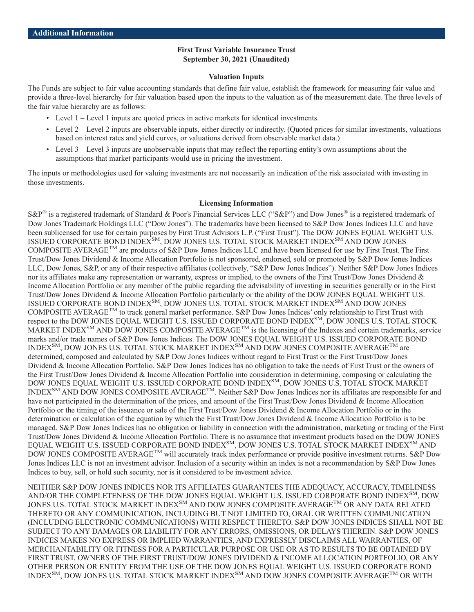### **First Trust Variable Insurance Trust September 30, 2021 (Unaudited)**

#### **Valuation Inputs**

The Funds are subject to fair value accounting standards that define fair value, establish the framework for measuring fair value and provide a three-level hierarchy for fair valuation based upon the inputs to the valuation as of the measurement date. The three levels of the fair value hierarchy are as follows:

- Level 1 Level 1 inputs are quoted prices in active markets for identical investments.
- Level 2 Level 2 inputs are observable inputs, either directly or indirectly. (Ouoted prices for similar investments, valuations based on interest rates and yield curves, or valuations derived from observable market data.)
- Level 3 Level 3 inputs are unobservable inputs that may reflect the reporting entity's own assumptions about the assumptions that market participants would use in pricing the investment.

The inputs or methodologies used for valuing investments are not necessarily an indication of the risk associated with investing in those investments.

#### **Licensing Information**

S&P<sup>®</sup> is a registered trademark of Standard & Poor's Financial Services LLC ("S&P") and Dow Jones<sup>®</sup> is a registered trademark of Dow Jones Trademark Holdings LLC ("Dow Jones"). The trademarks have been licensed to S&P Dow Jones Indices LLC and have been sublicensed for use for certain purposes by First Trust Advisors L.P. ("First Trust"). The DOW JONES EQUAL WEIGHT U.S. ISSUED CORPORATE BOND INDEXSM, DOW JONES U.S. TOTAL STOCK MARKET INDEXSM AND DOW JONES COMPOSITE AVERAGETM are products of S&P Dow Jones Indices LLC and have been licensed for use by First Trust. The First Trust/Dow Jones Dividend & Income Allocation Portfolio is not sponsored, endorsed, sold or promoted by S&P Dow Jones Indices LLC, Dow Jones, S&P, or any of their respective affiliates (collectively, "S&P Dow Jones Indices"). Neither S&P Dow Jones Indices nor its affiliates make any representation or warranty, express or implied, to the owners of the First Trust/Dow Jones Dividend & Income Allocation Portfolio or any member of the public regarding the advisability of investing in securities generally or in the First Trust/Dow Jones Dividend & Income Allocation Portfolio particularly or the ability of the DOW JONES EQUAL WEIGHT U.S. ISSUED CORPORATE BOND INDEX<sup>SM</sup>, DOW JONES U.S. TOTAL STOCK MARKET INDEX<sup>SM</sup> AND DOW JONES COMPOSITE AVERAGE<sup>TM</sup> to track general market performance. S&P Dow Jones Indices' only relationship to First Trust with respect to the DOW JONES EQUAL WEIGHT U.S. ISSUED CORPORATE BOND INDEX<sup>SM</sup>, DOW JONES U.S. TOTAL STOCK MARKET INDEX<sup>SM</sup> AND DOW JONES COMPOSITE AVERAGE<sup>TM</sup> is the licensing of the Indexes and certain trademarks, service marks and/or trade names of S&P Dow Jones Indices. The DOW JONES EQUAL WEIGHT U.S. ISSUED CORPORATE BOND INDEX<sup>SM</sup>, DOW JONES U.S. TOTAL STOCK MARKET INDEX<sup>SM</sup> AND DOW JONES COMPOSITE AVERAGE<sup>TM</sup> are determined, composed and calculated by S&P Dow Jones Indices without regard to First Trust or the First Trust/Dow Jones Dividend & Income Allocation Portfolio. S&P Dow Jones Indices has no obligation to take the needs of First Trust or the owners of the First Trust/Dow Jones Dividend & Income Allocation Portfolio into consideration in determining, composing or calculating the DOW JONES EQUAL WEIGHT U.S. ISSUED CORPORATE BOND INDEX<sup>SM</sup>, DOW JONES U.S. TOTAL STOCK MARKET INDEXSM AND DOW JONES COMPOSITE AVERAGETM. Neither S&P Dow Jones Indices nor its affiliates are responsible for and have not participated in the determination of the prices, and amount of the First Trust/Dow Jones Dividend & Income Allocation Portfolio or the timing of the issuance or sale of the First Trust/Dow Jones Dividend & Income Allocation Portfolio or in the determination or calculation of the equation by which the First Trust/Dow Jones Dividend & Income Allocation Portfolio is to be managed. S&P Dow Jones Indices has no obligation or liability in connection with the administration, marketing or trading of the First Trust/Dow Jones Dividend & Income Allocation Portfolio. There is no assurance that investment products based on the DOW JONES EQUAL WEIGHT U.S. ISSUED CORPORATE BOND INDEX $^{\rm SM}$ , DOW JONES U.S. TOTAL STOCK MARKET INDEX $^{\rm SM}$  AND DOW JONES COMPOSITE AVERAGE<sup>TM</sup> will accurately track index performance or provide positive investment returns. S&P Dow Jones Indices LLC is not an investment advisor. Inclusion of a security within an index is not a recommendation by S&P Dow Jones Indices to buy, sell, or hold such security, nor is it considered to be investment advice.

NEITHER S&P DOW JONES INDICES NOR ITS AFFILIATES GUARANTEES THE ADEQUACY, ACCURACY, TIMELINESS AND/OR THE COMPLETENESS OF THE DOW JONES EQUAL WEIGHT U.S. ISSUED CORPORATE BOND INDEX<sup>SM</sup>, DOW JONES U.S. TOTAL STOCK MARKET INDEX<sup>SM</sup> AND DOW JONES COMPOSITE AVERAGE<sup>TM</sup> OR ANY DATA RELATED THERETO OR ANY COMMUNICATION, INCLUDING BUT NOT LIMITED TO, ORAL OR WRITTEN COMMUNICATION (INCLUDING ELECTRONIC COMMUNICATIONS) WITH RESPECT THERETO. S&P DOW JONES INDICES SHALL NOT BE SUBJECT TO ANY DAMAGES OR LIABILITY FOR ANY ERRORS, OMISSIONS, OR DELAYS THEREIN. S&P DOW JONES INDICES MAKES NO EXPRESS OR IMPLIED WARRANTIES, AND EXPRESSLY DISCLAIMS ALL WARRANTIES, OF MERCHANTABILITY OR FITNESS FOR A PARTICULAR PURPOSE OR USE OR AS TO RESULTS TO BE OBTAINED BY FIRST TRUST, OWNERS OF THE FIRST TRUST/DOW JONES DIVIDEND & INCOME ALLOCATION PORTFOLIO, OR ANY OTHER PERSON OR ENTITY FROM THE USE OF THE DOW JONES EQUAL WEIGHT U.S. ISSUED CORPORATE BOND INDEX $^{\rm SM}$ , DOW JONES U.S. TOTAL STOCK MARKET INDEX $^{\rm SM}$  AND DOW JONES COMPOSITE AVERAGE $^{\rm TM}$  OR WITH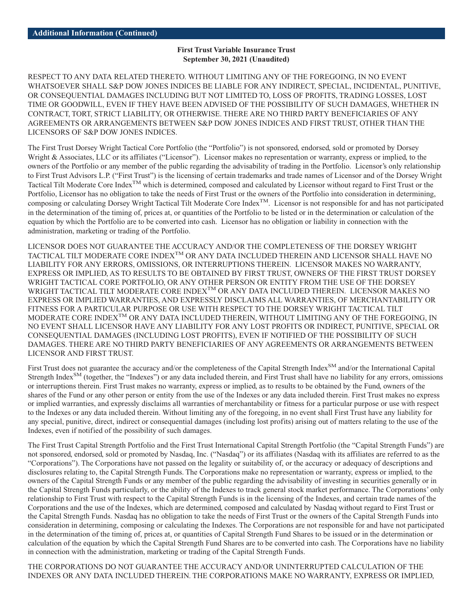#### **First Trust Variable Insurance Trust September 30, 2021 (Unaudited)**

RESPECT TO ANY DATA RELATED THERETO. WITHOUT LIMITING ANY OF THE FOREGOING, IN NO EVENT WHATSOEVER SHALL S&P DOW JONES INDICES BE LIABLE FOR ANY INDIRECT, SPECIAL, INCIDENTAL, PUNITIVE, OR CONSEQUENTIAL DAMAGES INCLUDING BUT NOT LIMITED TO, LOSS OF PROFITS, TRADING LOSSES, LOST TIME OR GOODWILL, EVEN IF THEY HAVE BEEN ADVISED OF THE POSSIBILITY OF SUCH DAMAGES, WHETHER IN CONTRACT, TORT, STRICT LIABILITY, OR OTHERWISE. THERE ARE NO THIRD PARTY BENEFICIARIES OF ANY AGREEMENTS OR ARRANGEMENTS BETWEEN S&P DOW JONES INDICES AND FIRST TRUST, OTHER THAN THE LICENSORS OF S&P DOW JONES INDICES.

The First Trust Dorsey Wright Tactical Core Portfolio (the "Portfolio") is not sponsored, endorsed, sold or promoted by Dorsey Wright & Associates, LLC or its affiliates ("Licensor"). Licensor makes no representation or warranty, express or implied, to the owners of the Portfolio or any member of the public regarding the advisability of trading in the Portfolio. Licensor's only relationship to First Trust Advisors L.P. ("First Trust") is the licensing of certain trademarks and trade names of Licensor and of the Dorsey Wright Tactical Tilt Moderate Core Index<sup>TM</sup> which is determined, composed and calculated by Licensor without regard to First Trust or the Portfolio, Licensor has no obligation to take the needs of First Trust or the owners of the Portfolio into consideration in determining, composing or calculating Dorsey Wright Tactical Tilt Moderate Core IndexTM. Licensor is not responsible for and has not participated in the determination of the timing of, prices at, or quantities of the Portfolio to be listed or in the determination or calculation of the equation by which the Portfolio are to be converted into cash. Licensor has no obligation or liability in connection with the administration, marketing or trading of the Portfolio.

LICENSOR DOES NOT GUARANTEE THE ACCURACY AND/OR THE COMPLETENESS OF THE DORSEY WRIGHT TACTICAL TILT MODERATE CORE INDEXTM OR ANY DATA INCLUDED THEREIN AND LICENSOR SHALL HAVE NO LIABILITY FOR ANY ERRORS, OMISSIONS, OR INTERRUPTIONS THEREIN. LICENSOR MAKES NO WARRANTY, EXPRESS OR IMPLIED, AS TO RESULTS TO BE OBTAINED BY FIRST TRUST, OWNERS OF THE FIRST TRUST DORSEY WRIGHT TACTICAL CORE PORTFOLIO, OR ANY OTHER PERSON OR ENTITY FROM THE USE OF THE DORSEY WRIGHT TACTICAL TILT MODERATE CORE INDEX<sup>TM</sup> OR ANY DATA INCLUDED THEREIN. LICENSOR MAKES NO EXPRESS OR IMPLIED WARRANTIES, AND EXPRESSLY DISCLAIMS ALL WARRANTIES, OF MERCHANTABILITY OR FITNESS FOR A PARTICULAR PURPOSE OR USE WITH RESPECT TO THE DORSEY WRIGHT TACTICAL TILT MODERATE CORE INDEX<sup>TM</sup> OR ANY DATA INCLUDED THEREIN, WITHOUT LIMITING ANY OF THE FOREGOING, IN NO EVENT SHALL LICENSOR HAVE ANY LIABILITY FOR ANY LOST PROFITS OR INDIRECT, PUNITIVE, SPECIAL OR CONSEQUENTIAL DAMAGES (INCLUDING LOST PROFITS), EVEN IF NOTIFIED OF THE POSSIBILITY OF SUCH DAMAGES. THERE ARE NO THIRD PARTY BENEFICIARIES OF ANY AGREEMENTS OR ARRANGEMENTS BETWEEN LICENSOR AND FIRST TRUST.

First Trust does not guarantee the accuracy and/or the completeness of the Capital Strength Index<sup>SM</sup> and/or the International Capital Strength Index<sup>SM</sup> (together, the "Indexes") or any data included therein, and First Trust shall have no liability for any errors, omissions or interruptions therein. First Trust makes no warranty, express or implied, as to results to be obtained by the Fund, owners of the shares of the Fund or any other person or entity from the use of the Indexes or any data included therein. First Trust makes no express or implied warranties, and expressly disclaims all warranties of merchantability or fitness for a particular purpose or use with respect to the Indexes or any data included therein. Without limiting any of the foregoing, in no event shall First Trust have any liability for any special, punitive, direct, indirect or consequential damages (including lost profits) arising out of matters relating to the use of the Indexes, even if notified of the possibility of such damages.

The First Trust Capital Strength Portfolio and the First Trust International Capital Strength Portfolio (the "Capital Strength Funds") are not sponsored, endorsed, sold or promoted by Nasdaq, Inc. ("Nasdaq") or its affiliates (Nasdaq with its affiliates are referred to as the "Corporations"). The Corporations have not passed on the legality or suitability of, or the accuracy or adequacy of descriptions and disclosures relating to, the Capital Strength Funds. The Corporations make no representation or warranty, express or implied, to the owners of the Capital Strength Funds or any member of the public regarding the advisability of investing in securities generally or in the Capital Strength Funds particularly, or the ability of the Indexes to track general stock market performance. The Corporations' only relationship to First Trust with respect to the Capital Strength Funds is in the licensing of the Indexes, and certain trade names of the Corporations and the use of the Indexes, which are determined, composed and calculated by Nasdaq without regard to First Trust or the Capital Strength Funds. Nasdaq has no obligation to take the needs of First Trust or the owners of the Capital Strength Funds into consideration in determining, composing or calculating the Indexes. The Corporations are not responsible for and have not participated in the determination of the timing of, prices at, or quantities of Capital Strength Fund Shares to be issued or in the determination or calculation of the equation by which the Capital Strength Fund Shares are to be converted into cash. The Corporations have no liability in connection with the administration, marketing or trading of the Capital Strength Funds.

THE CORPORATIONS DO NOT GUARANTEE THE ACCURACY AND/OR UNINTERRUPTED CALCULATION OF THE INDEXES OR ANY DATA INCLUDED THEREIN. THE CORPORATIONS MAKE NO WARRANTY, EXPRESS OR IMPLIED,